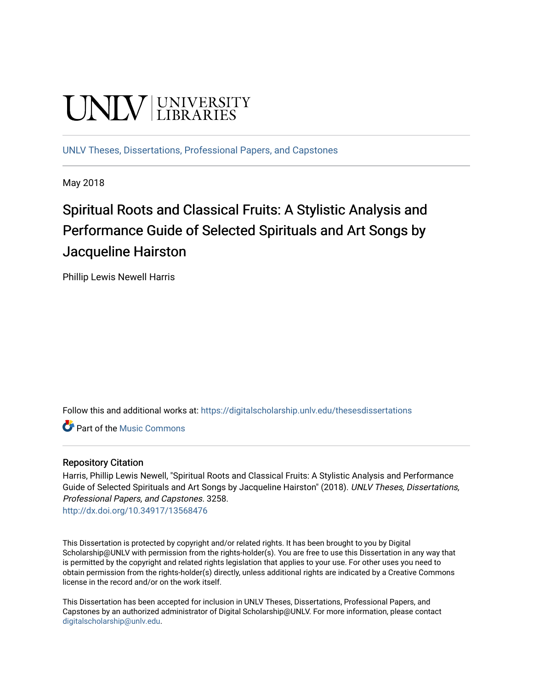# **UNIVERSITY**

[UNLV Theses, Dissertations, Professional Papers, and Capstones](https://digitalscholarship.unlv.edu/thesesdissertations)

May 2018

# Spiritual Roots and Classical Fruits: A Stylistic Analysis and Performance Guide of Selected Spirituals and Art Songs by Jacqueline Hairston

Phillip Lewis Newell Harris

Follow this and additional works at: [https://digitalscholarship.unlv.edu/thesesdissertations](https://digitalscholarship.unlv.edu/thesesdissertations?utm_source=digitalscholarship.unlv.edu%2Fthesesdissertations%2F3258&utm_medium=PDF&utm_campaign=PDFCoverPages)

**C** Part of the Music Commons

### Repository Citation

Harris, Phillip Lewis Newell, "Spiritual Roots and Classical Fruits: A Stylistic Analysis and Performance Guide of Selected Spirituals and Art Songs by Jacqueline Hairston" (2018). UNLV Theses, Dissertations, Professional Papers, and Capstones. 3258.

<http://dx.doi.org/10.34917/13568476>

This Dissertation is protected by copyright and/or related rights. It has been brought to you by Digital Scholarship@UNLV with permission from the rights-holder(s). You are free to use this Dissertation in any way that is permitted by the copyright and related rights legislation that applies to your use. For other uses you need to obtain permission from the rights-holder(s) directly, unless additional rights are indicated by a Creative Commons license in the record and/or on the work itself.

This Dissertation has been accepted for inclusion in UNLV Theses, Dissertations, Professional Papers, and Capstones by an authorized administrator of Digital Scholarship@UNLV. For more information, please contact [digitalscholarship@unlv.edu](mailto:digitalscholarship@unlv.edu).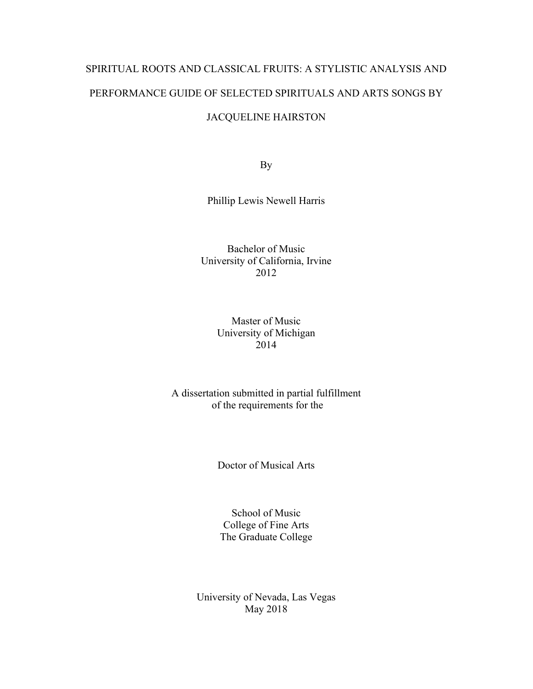# SPIRITUAL ROOTS AND CLASSICAL FRUITS: A STYLISTIC ANALYSIS AND PERFORMANCE GUIDE OF SELECTED SPIRITUALS AND ARTS SONGS BY

# JACQUELINE HAIRSTON

By

Phillip Lewis Newell Harris

Bachelor of Music University of California, Irvine 2012

## Master of Music University of Michigan 2014

## A dissertation submitted in partial fulfillment of the requirements for the

Doctor of Musical Arts

School of Music College of Fine Arts The Graduate College

University of Nevada, Las Vegas May 2018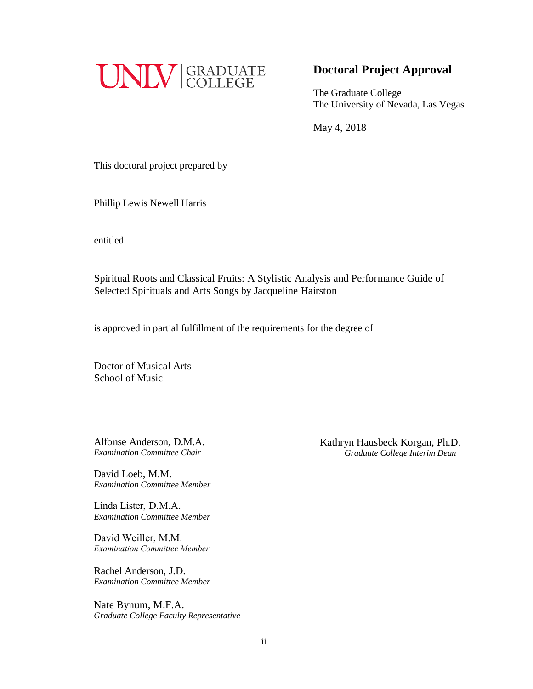

# **Doctoral Project Approval**

The Graduate College The University of Nevada, Las Vegas

May 4, 2018

This doctoral project prepared by

Phillip Lewis Newell Harris

entitled

Spiritual Roots and Classical Fruits: A Stylistic Analysis and Performance Guide of Selected Spirituals and Arts Songs by Jacqueline Hairston

is approved in partial fulfillment of the requirements for the degree of

Doctor of Musical Arts School of Music

Alfonse Anderson, D.M.A. *Examination Committee Chair* 

David Loeb, M.M. *Examination Committee Member* 

Linda Lister, D.M.A. *Examination Committee Member* 

David Weiller, M.M. *Examination Committee Member*

Rachel Anderson, J.D. *Examination Committee Member* 

Nate Bynum, M.F.A. *Graduate College Faculty Representative*  Kathryn Hausbeck Korgan, Ph.D. *Graduate College Interim Dean*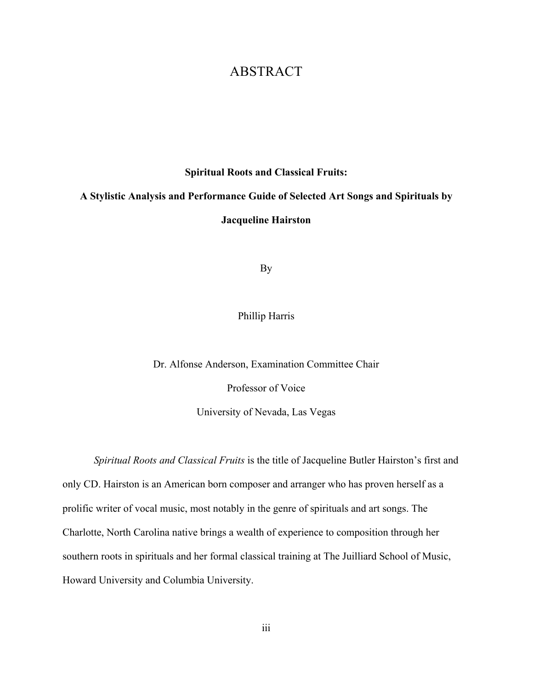# ABSTRACT

#### **Spiritual Roots and Classical Fruits:**

# **A Stylistic Analysis and Performance Guide of Selected Art Songs and Spirituals by Jacqueline Hairston**

By

Phillip Harris

Dr. Alfonse Anderson, Examination Committee Chair

Professor of Voice

University of Nevada, Las Vegas

*Spiritual Roots and Classical Fruits* is the title of Jacqueline Butler Hairston's first and only CD. Hairston is an American born composer and arranger who has proven herself as a prolific writer of vocal music, most notably in the genre of spirituals and art songs. The Charlotte, North Carolina native brings a wealth of experience to composition through her southern roots in spirituals and her formal classical training at The Juilliard School of Music, Howard University and Columbia University.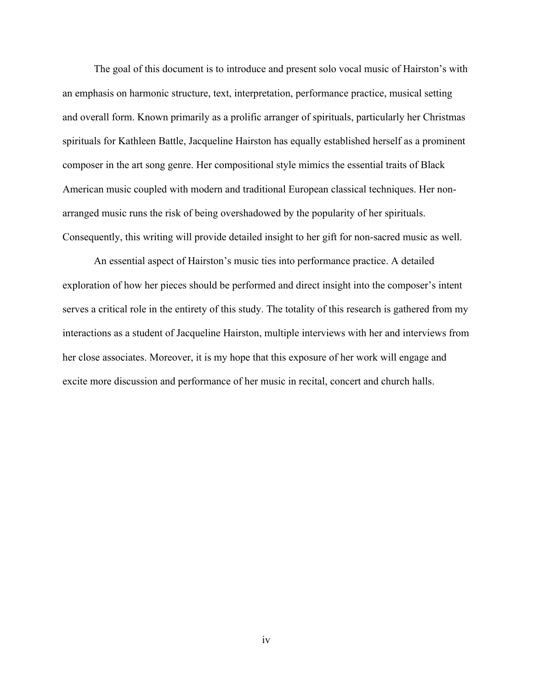The goal of this document is to introduce and present solo vocal music of Hairston's with an emphasis on harmonic structure, text, interpretation, performance practice, musical setting and overall form. Known primarily as a prolific arranger of spirituals, particularly her Christmas spirituals for Kathleen Battle, Jacqueline Hairston has equally established herself as a prominent composer in the art song genre. Her compositional style mimics the essential traits of Black American music coupled with modern and traditional European classical techniques. Her nonarranged music runs the risk of being overshadowed by the popularity of her spirituals. Consequently, this writing will provide detailed insight to her gift for non-sacred music as well.

An essential aspect of Hairston's music ties into performance practice. A detailed exploration of how her pieces should be performed and direct insight into the composer's intent serves a critical role in the entirety of this study. The totality of this research is gathered from my interactions as a student of Jacqueline Hairston, multiple interviews with her and interviews from her close associates. Moreover, it is my hope that this exposure of her work will engage and excite more discussion and performance of her music in recital, concert and church halls.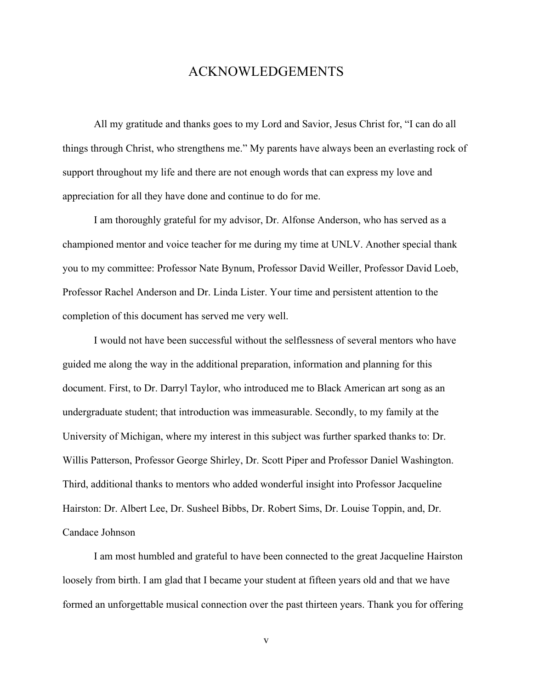# ACKNOWLEDGEMENTS

All my gratitude and thanks goes to my Lord and Savior, Jesus Christ for, "I can do all things through Christ, who strengthens me." My parents have always been an everlasting rock of support throughout my life and there are not enough words that can express my love and appreciation for all they have done and continue to do for me.

I am thoroughly grateful for my advisor, Dr. Alfonse Anderson, who has served as a championed mentor and voice teacher for me during my time at UNLV. Another special thank you to my committee: Professor Nate Bynum, Professor David Weiller, Professor David Loeb, Professor Rachel Anderson and Dr. Linda Lister. Your time and persistent attention to the completion of this document has served me very well.

I would not have been successful without the selflessness of several mentors who have guided me along the way in the additional preparation, information and planning for this document. First, to Dr. Darryl Taylor, who introduced me to Black American art song as an undergraduate student; that introduction was immeasurable. Secondly, to my family at the University of Michigan, where my interest in this subject was further sparked thanks to: Dr. Willis Patterson, Professor George Shirley, Dr. Scott Piper and Professor Daniel Washington. Third, additional thanks to mentors who added wonderful insight into Professor Jacqueline Hairston: Dr. Albert Lee, Dr. Susheel Bibbs, Dr. Robert Sims, Dr. Louise Toppin, and, Dr. Candace Johnson

I am most humbled and grateful to have been connected to the great Jacqueline Hairston loosely from birth. I am glad that I became your student at fifteen years old and that we have formed an unforgettable musical connection over the past thirteen years. Thank you for offering

v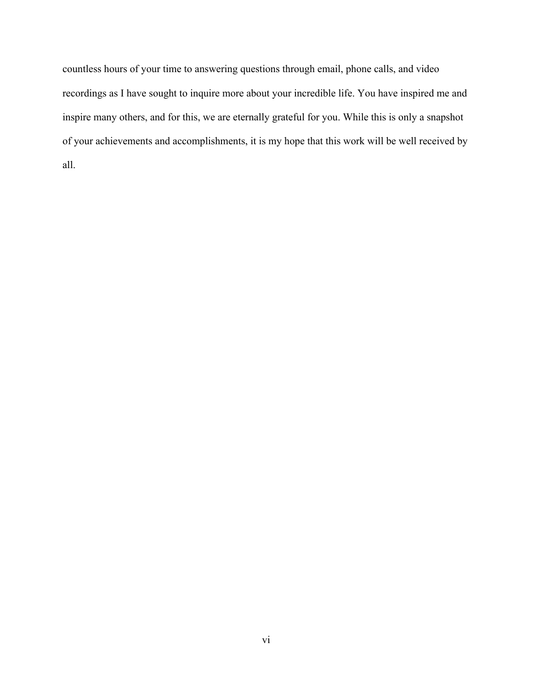countless hours of your time to answering questions through email, phone calls, and video recordings as I have sought to inquire more about your incredible life. You have inspired me and inspire many others, and for this, we are eternally grateful for you. While this is only a snapshot of your achievements and accomplishments, it is my hope that this work will be well received by all.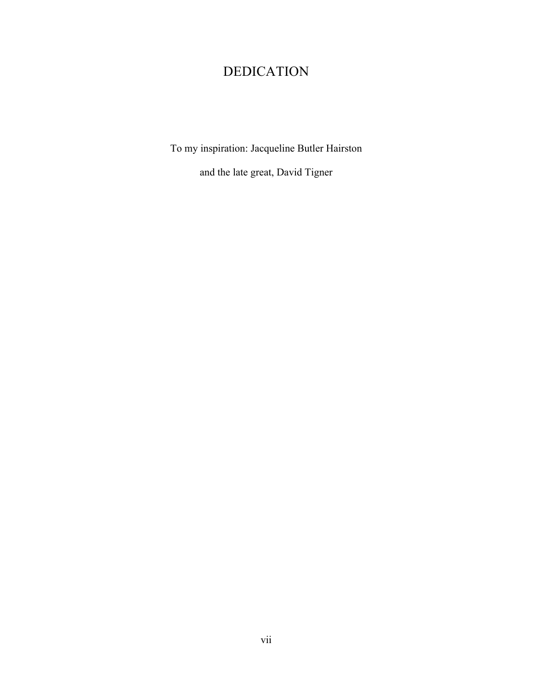# DEDICATION

To my inspiration: Jacqueline Butler Hairston

and the late great, David Tigner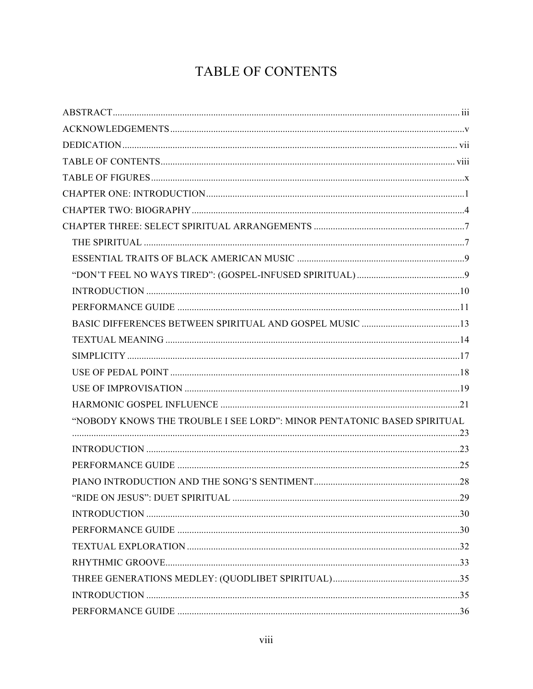# TABLE OF CONTENTS

| "NOBODY KNOWS THE TROUBLE I SEE LORD": MINOR PENTATONIC BASED SPIRITUAL |  |
|-------------------------------------------------------------------------|--|
|                                                                         |  |
|                                                                         |  |
|                                                                         |  |
|                                                                         |  |
|                                                                         |  |
|                                                                         |  |
|                                                                         |  |
|                                                                         |  |
|                                                                         |  |
|                                                                         |  |
|                                                                         |  |
|                                                                         |  |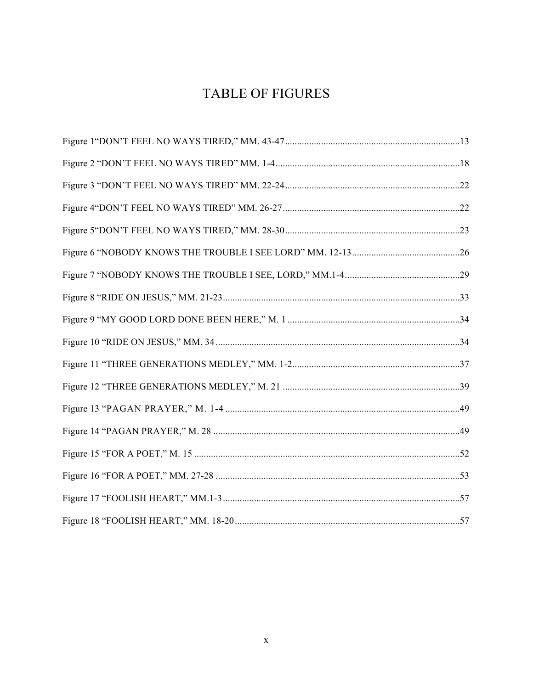# TABLE OF FIGURES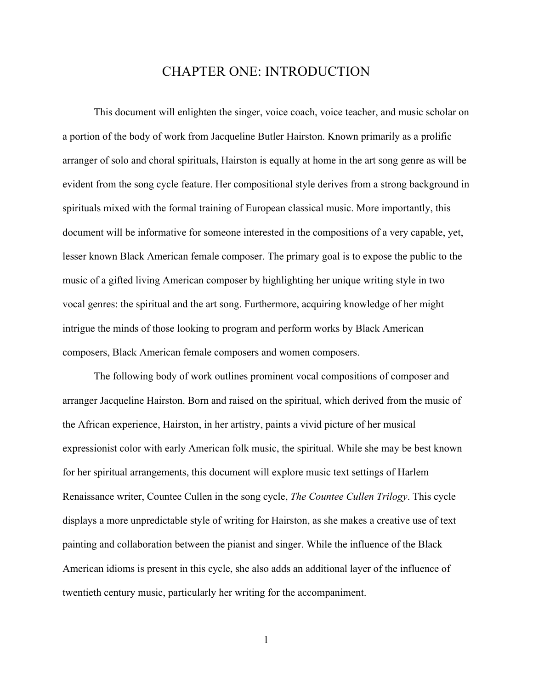# CHAPTER ONE: INTRODUCTION

This document will enlighten the singer, voice coach, voice teacher, and music scholar on a portion of the body of work from Jacqueline Butler Hairston. Known primarily as a prolific arranger of solo and choral spirituals, Hairston is equally at home in the art song genre as will be evident from the song cycle feature. Her compositional style derives from a strong background in spirituals mixed with the formal training of European classical music. More importantly, this document will be informative for someone interested in the compositions of a very capable, yet, lesser known Black American female composer. The primary goal is to expose the public to the music of a gifted living American composer by highlighting her unique writing style in two vocal genres: the spiritual and the art song. Furthermore, acquiring knowledge of her might intrigue the minds of those looking to program and perform works by Black American composers, Black American female composers and women composers.

The following body of work outlines prominent vocal compositions of composer and arranger Jacqueline Hairston. Born and raised on the spiritual, which derived from the music of the African experience, Hairston, in her artistry, paints a vivid picture of her musical expressionist color with early American folk music, the spiritual. While she may be best known for her spiritual arrangements, this document will explore music text settings of Harlem Renaissance writer, Countee Cullen in the song cycle, *The Countee Cullen Trilogy*. This cycle displays a more unpredictable style of writing for Hairston, as she makes a creative use of text painting and collaboration between the pianist and singer. While the influence of the Black American idioms is present in this cycle, she also adds an additional layer of the influence of twentieth century music, particularly her writing for the accompaniment.

1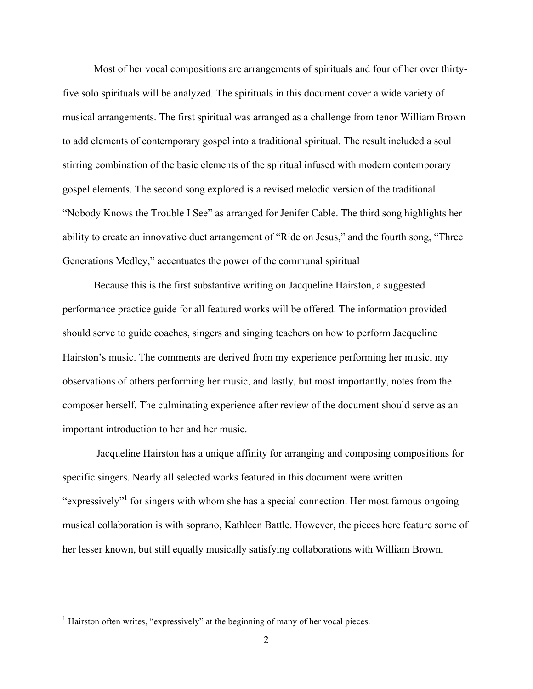Most of her vocal compositions are arrangements of spirituals and four of her over thirtyfive solo spirituals will be analyzed. The spirituals in this document cover a wide variety of musical arrangements. The first spiritual was arranged as a challenge from tenor William Brown to add elements of contemporary gospel into a traditional spiritual. The result included a soul stirring combination of the basic elements of the spiritual infused with modern contemporary gospel elements. The second song explored is a revised melodic version of the traditional "Nobody Knows the Trouble I See" as arranged for Jenifer Cable. The third song highlights her ability to create an innovative duet arrangement of "Ride on Jesus," and the fourth song, "Three Generations Medley," accentuates the power of the communal spiritual

Because this is the first substantive writing on Jacqueline Hairston, a suggested performance practice guide for all featured works will be offered. The information provided should serve to guide coaches, singers and singing teachers on how to perform Jacqueline Hairston's music. The comments are derived from my experience performing her music, my observations of others performing her music, and lastly, but most importantly, notes from the composer herself. The culminating experience after review of the document should serve as an important introduction to her and her music.

Jacqueline Hairston has a unique affinity for arranging and composing compositions for specific singers. Nearly all selected works featured in this document were written "expressively" for singers with whom she has a special connection. Her most famous ongoing musical collaboration is with soprano, Kathleen Battle. However, the pieces here feature some of her lesser known, but still equally musically satisfying collaborations with William Brown,

 $<sup>1</sup>$  Hairston often writes, "expressively" at the beginning of many of her vocal pieces.</sup>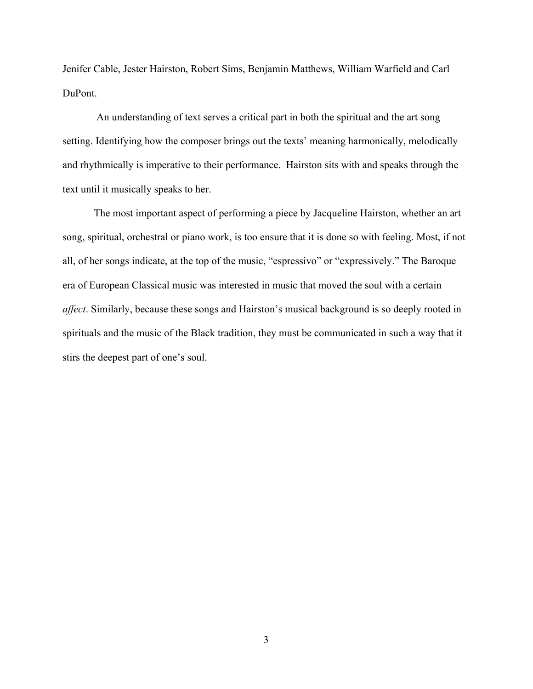Jenifer Cable, Jester Hairston, Robert Sims, Benjamin Matthews, William Warfield and Carl DuPont.

An understanding of text serves a critical part in both the spiritual and the art song setting. Identifying how the composer brings out the texts' meaning harmonically, melodically and rhythmically is imperative to their performance. Hairston sits with and speaks through the text until it musically speaks to her.

The most important aspect of performing a piece by Jacqueline Hairston, whether an art song, spiritual, orchestral or piano work, is too ensure that it is done so with feeling. Most, if not all, of her songs indicate, at the top of the music, "espressivo" or "expressively." The Baroque era of European Classical music was interested in music that moved the soul with a certain *affect*. Similarly, because these songs and Hairston's musical background is so deeply rooted in spirituals and the music of the Black tradition, they must be communicated in such a way that it stirs the deepest part of one's soul.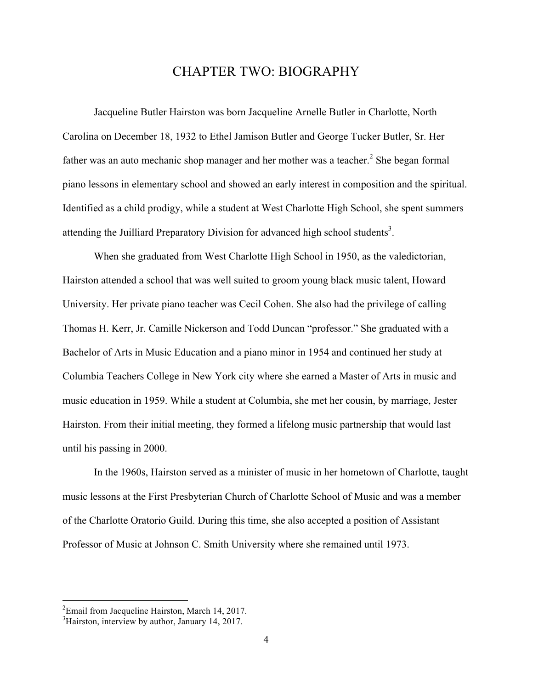# CHAPTER TWO: BIOGRAPHY

Jacqueline Butler Hairston was born Jacqueline Arnelle Butler in Charlotte, North Carolina on December 18, 1932 to Ethel Jamison Butler and George Tucker Butler, Sr. Her father was an auto mechanic shop manager and her mother was a teacher.<sup>2</sup> She began formal piano lessons in elementary school and showed an early interest in composition and the spiritual. Identified as a child prodigy, while a student at West Charlotte High School, she spent summers attending the Juilliard Preparatory Division for advanced high school students<sup>3</sup>.

When she graduated from West Charlotte High School in 1950, as the valedictorian, Hairston attended a school that was well suited to groom young black music talent, Howard University. Her private piano teacher was Cecil Cohen. She also had the privilege of calling Thomas H. Kerr, Jr. Camille Nickerson and Todd Duncan "professor." She graduated with a Bachelor of Arts in Music Education and a piano minor in 1954 and continued her study at Columbia Teachers College in New York city where she earned a Master of Arts in music and music education in 1959. While a student at Columbia, she met her cousin, by marriage, Jester Hairston. From their initial meeting, they formed a lifelong music partnership that would last until his passing in 2000.

In the 1960s, Hairston served as a minister of music in her hometown of Charlotte, taught music lessons at the First Presbyterian Church of Charlotte School of Music and was a member of the Charlotte Oratorio Guild. During this time, she also accepted a position of Assistant Professor of Music at Johnson C. Smith University where she remained until 1973.

 $\frac{1}{2}$  ${}^{2}$ Email from Jacqueline Hairston, March 14, 2017.

<sup>&</sup>lt;sup>3</sup>Hairston, interview by author, January 14, 2017.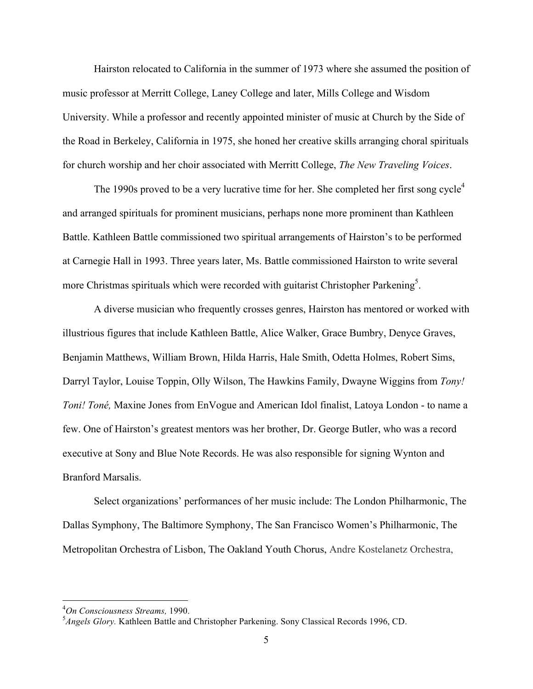Hairston relocated to California in the summer of 1973 where she assumed the position of music professor at Merritt College, Laney College and later, Mills College and Wisdom University. While a professor and recently appointed minister of music at Church by the Side of the Road in Berkeley, California in 1975, she honed her creative skills arranging choral spirituals for church worship and her choir associated with Merritt College, *The New Traveling Voices*.

The 1990s proved to be a very lucrative time for her. She completed her first song cycle<sup>4</sup> and arranged spirituals for prominent musicians, perhaps none more prominent than Kathleen Battle. Kathleen Battle commissioned two spiritual arrangements of Hairston's to be performed at Carnegie Hall in 1993. Three years later, Ms. Battle commissioned Hairston to write several more Christmas spirituals which were recorded with guitarist Christopher Parkening<sup>5</sup>.

A diverse musician who frequently crosses genres, Hairston has mentored or worked with illustrious figures that include Kathleen Battle, Alice Walker, Grace Bumbry, Denyce Graves, Benjamin Matthews, William Brown, Hilda Harris, Hale Smith, Odetta Holmes, Robert Sims, Darryl Taylor, Louise Toppin, Olly Wilson, The Hawkins Family, Dwayne Wiggins from *Tony! Toni! Toné,* Maxine Jones from EnVogue and American Idol finalist, Latoya London - to name a few. One of Hairston's greatest mentors was her brother, Dr. George Butler, who was a record executive at Sony and Blue Note Records. He was also responsible for signing Wynton and Branford Marsalis.

Select organizations' performances of her music include: The London Philharmonic, The Dallas Symphony, The Baltimore Symphony, The San Francisco Women's Philharmonic, The Metropolitan Orchestra of Lisbon, The Oakland Youth Chorus, Andre Kostelanetz Orchestra,

 $\frac{1}{4}$ *On Consciousness Streams,* 1990.

<sup>5</sup> *Angels Glory.* Kathleen Battle and Christopher Parkening. Sony Classical Records 1996, CD.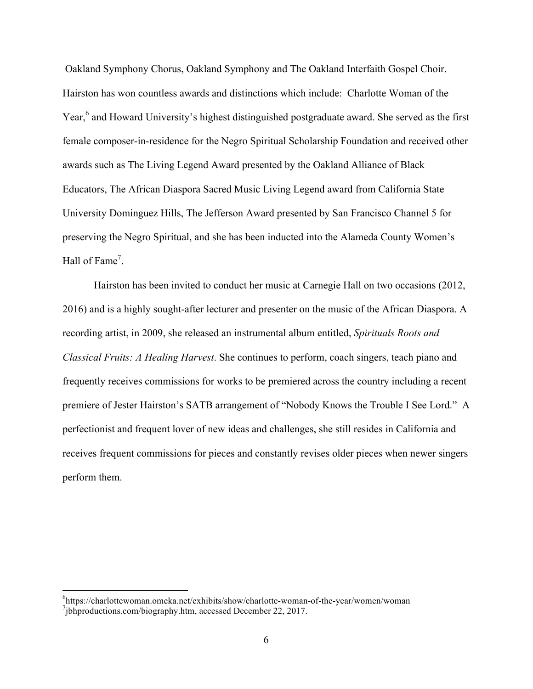Oakland Symphony Chorus, Oakland Symphony and The Oakland Interfaith Gospel Choir. Hairston has won countless awards and distinctions which include: Charlotte Woman of the Year,<sup>6</sup> and Howard University's highest distinguished postgraduate award. She served as the first female composer-in-residence for the Negro Spiritual Scholarship Foundation and received other awards such as The Living Legend Award presented by the Oakland Alliance of Black Educators, The African Diaspora Sacred Music Living Legend award from California State University Dominguez Hills, The Jefferson Award presented by San Francisco Channel 5 for preserving the Negro Spiritual, and she has been inducted into the Alameda County Women's Hall of Fame<sup>7</sup>.

Hairston has been invited to conduct her music at Carnegie Hall on two occasions (2012, 2016) and is a highly sought-after lecturer and presenter on the music of the African Diaspora. A recording artist, in 2009, she released an instrumental album entitled, *Spirituals Roots and Classical Fruits: A Healing Harvest*. She continues to perform, coach singers, teach piano and frequently receives commissions for works to be premiered across the country including a recent premiere of Jester Hairston's SATB arrangement of "Nobody Knows the Trouble I See Lord." A perfectionist and frequent lover of new ideas and challenges, she still resides in California and receives frequent commissions for pieces and constantly revises older pieces when newer singers perform them.

 <sup>6</sup> https://charlottewoman.omeka.net/exhibits/show/charlotte-woman-of-the-year/women/woman <sup>7</sup>jbhproductions.com/biography.htm, accessed December 22, 2017.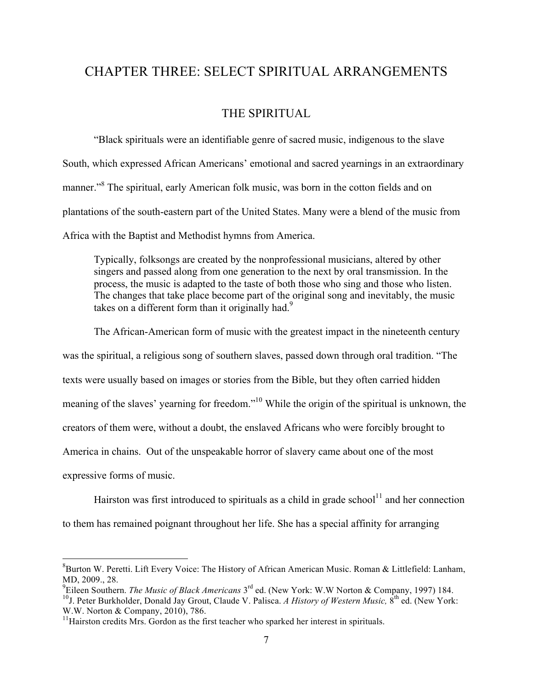# CHAPTER THREE: SELECT SPIRITUAL ARRANGEMENTS

## THE SPIRITUAL

"Black spirituals were an identifiable genre of sacred music, indigenous to the slave South, which expressed African Americans' emotional and sacred yearnings in an extraordinary manner."<sup>8</sup> The spiritual, early American folk music, was born in the cotton fields and on plantations of the south-eastern part of the United States. Many were a blend of the music from Africa with the Baptist and Methodist hymns from America.

Typically, folksongs are created by the nonprofessional musicians, altered by other singers and passed along from one generation to the next by oral transmission. In the process, the music is adapted to the taste of both those who sing and those who listen. The changes that take place become part of the original song and inevitably, the music takes on a different form than it originally had.<sup>9</sup>

The African-American form of music with the greatest impact in the nineteenth century was the spiritual, a religious song of southern slaves, passed down through oral tradition. "The texts were usually based on images or stories from the Bible, but they often carried hidden meaning of the slaves' yearning for freedom."10 While the origin of the spiritual is unknown, the creators of them were, without a doubt, the enslaved Africans who were forcibly brought to America in chains. Out of the unspeakable horror of slavery came about one of the most expressive forms of music.

Hairston was first introduced to spirituals as a child in grade school $11$  and her connection to them has remained poignant throughout her life. She has a special affinity for arranging

 <sup>8</sup>  ${}^{8}$ Burton W. Peretti. Lift Every Voice: The History of African American Music. Roman & Littlefield: Lanham, MD, 2009., 28.

<sup>9</sup> Eileen Southern. *The Music of Black Americans* 3rd ed. (New York: W.W Norton & Company, 1997) 184. <sup>10</sup>J. Peter Burkholder, Donald Jay Grout, Claude V. Palisca. *A History of Western Music*, 8<sup>th</sup> ed. (New York:

W.W. Norton & Company, 2010), 786.

 $11$ Hairston credits Mrs. Gordon as the first teacher who sparked her interest in spirituals.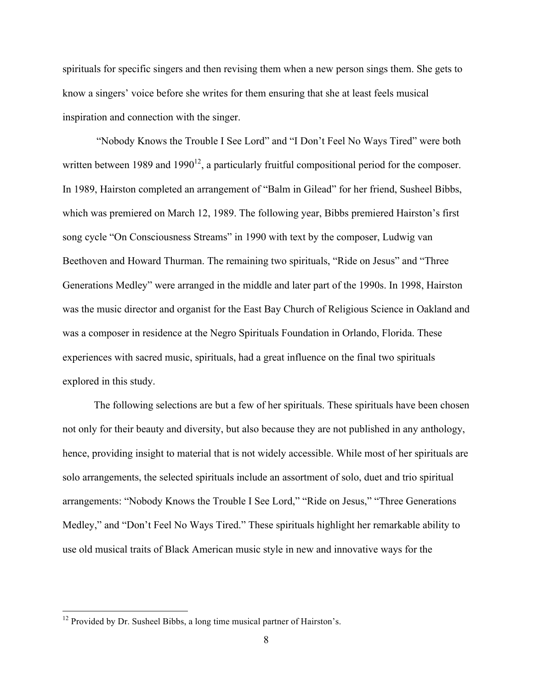spirituals for specific singers and then revising them when a new person sings them. She gets to know a singers' voice before she writes for them ensuring that she at least feels musical inspiration and connection with the singer.

"Nobody Knows the Trouble I See Lord" and "I Don't Feel No Ways Tired" were both written between 1989 and 1990 $^{12}$ , a particularly fruitful compositional period for the composer. In 1989, Hairston completed an arrangement of "Balm in Gilead" for her friend, Susheel Bibbs, which was premiered on March 12, 1989. The following year, Bibbs premiered Hairston's first song cycle "On Consciousness Streams" in 1990 with text by the composer, Ludwig van Beethoven and Howard Thurman. The remaining two spirituals, "Ride on Jesus" and "Three Generations Medley" were arranged in the middle and later part of the 1990s. In 1998, Hairston was the music director and organist for the East Bay Church of Religious Science in Oakland and was a composer in residence at the Negro Spirituals Foundation in Orlando, Florida. These experiences with sacred music, spirituals, had a great influence on the final two spirituals explored in this study.

The following selections are but a few of her spirituals. These spirituals have been chosen not only for their beauty and diversity, but also because they are not published in any anthology, hence, providing insight to material that is not widely accessible. While most of her spirituals are solo arrangements, the selected spirituals include an assortment of solo, duet and trio spiritual arrangements: "Nobody Knows the Trouble I See Lord," "Ride on Jesus," "Three Generations Medley," and "Don't Feel No Ways Tired." These spirituals highlight her remarkable ability to use old musical traits of Black American music style in new and innovative ways for the

<sup>&</sup>lt;sup>12</sup> Provided by Dr. Susheel Bibbs, a long time musical partner of Hairston's.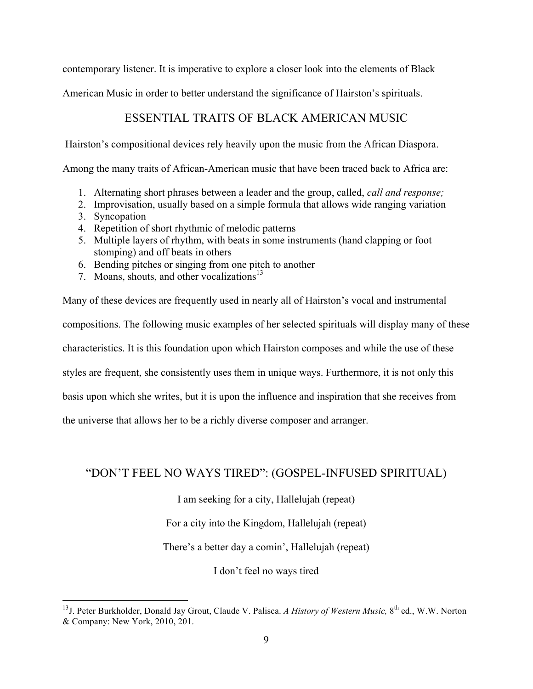contemporary listener. It is imperative to explore a closer look into the elements of Black

American Music in order to better understand the significance of Hairston's spirituals.

# ESSENTIAL TRAITS OF BLACK AMERICAN MUSIC

Hairston's compositional devices rely heavily upon the music from the African Diaspora.

Among the many traits of African-American music that have been traced back to Africa are:

- 1. Alternating short phrases between a leader and the group, called, *call and response;*
- 2. Improvisation, usually based on a simple formula that allows wide ranging variation
- 3. Syncopation
- 4. Repetition of short rhythmic of melodic patterns
- 5. Multiple layers of rhythm, with beats in some instruments (hand clapping or foot stomping) and off beats in others
- 6. Bending pitches or singing from one pitch to another
- 7. Moans, shouts, and other vocalizations<sup>13</sup>

Many of these devices are frequently used in nearly all of Hairston's vocal and instrumental compositions. The following music examples of her selected spirituals will display many of these characteristics. It is this foundation upon which Hairston composes and while the use of these styles are frequent, she consistently uses them in unique ways. Furthermore, it is not only this basis upon which she writes, but it is upon the influence and inspiration that she receives from the universe that allows her to be a richly diverse composer and arranger.

# "DON'T FEEL NO WAYS TIRED": (GOSPEL-INFUSED SPIRITUAL)

I am seeking for a city, Hallelujah (repeat)

For a city into the Kingdom, Hallelujah (repeat)

There's a better day a comin', Hallelujah (repeat)

I don't feel no ways tired

<sup>&</sup>lt;sup>13</sup>J. Peter Burkholder, Donald Jay Grout, Claude V. Palisca. *A History of Western Music*, 8<sup>th</sup> ed., W.W. Norton & Company: New York, 2010, 201.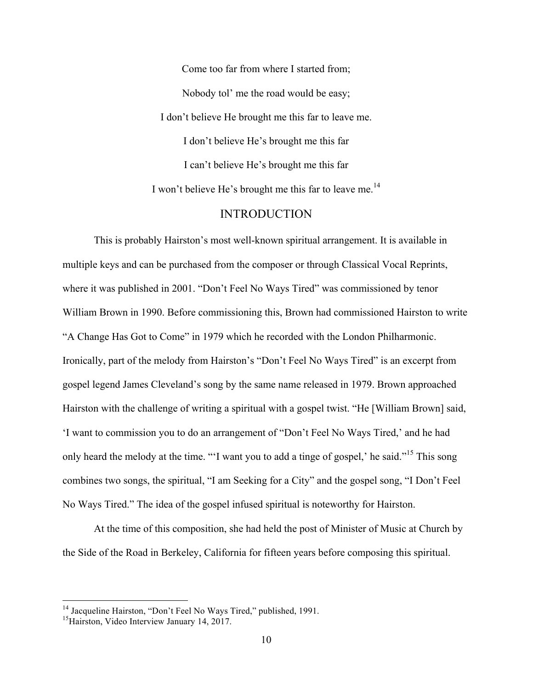Come too far from where I started from; Nobody tol' me the road would be easy; I don't believe He brought me this far to leave me. I don't believe He's brought me this far I can't believe He's brought me this far I won't believe He's brought me this far to leave me.<sup>14</sup>

### INTRODUCTION

This is probably Hairston's most well-known spiritual arrangement. It is available in multiple keys and can be purchased from the composer or through Classical Vocal Reprints, where it was published in 2001. "Don't Feel No Ways Tired" was commissioned by tenor William Brown in 1990. Before commissioning this, Brown had commissioned Hairston to write "A Change Has Got to Come" in 1979 which he recorded with the London Philharmonic. Ironically, part of the melody from Hairston's "Don't Feel No Ways Tired" is an excerpt from gospel legend James Cleveland's song by the same name released in 1979. Brown approached Hairston with the challenge of writing a spiritual with a gospel twist. "He [William Brown] said, 'I want to commission you to do an arrangement of "Don't Feel No Ways Tired,' and he had only heard the melody at the time. "'I want you to add a tinge of gospel,' he said."<sup>15</sup> This song combines two songs, the spiritual, "I am Seeking for a City" and the gospel song, "I Don't Feel No Ways Tired." The idea of the gospel infused spiritual is noteworthy for Hairston.

At the time of this composition, she had held the post of Minister of Music at Church by the Side of the Road in Berkeley, California for fifteen years before composing this spiritual.

<sup>&</sup>lt;sup>14</sup> Jacqueline Hairston, "Don't Feel No Ways Tired," published, 1991.

<sup>&</sup>lt;sup>15</sup> Hairston, Video Interview January 14, 2017.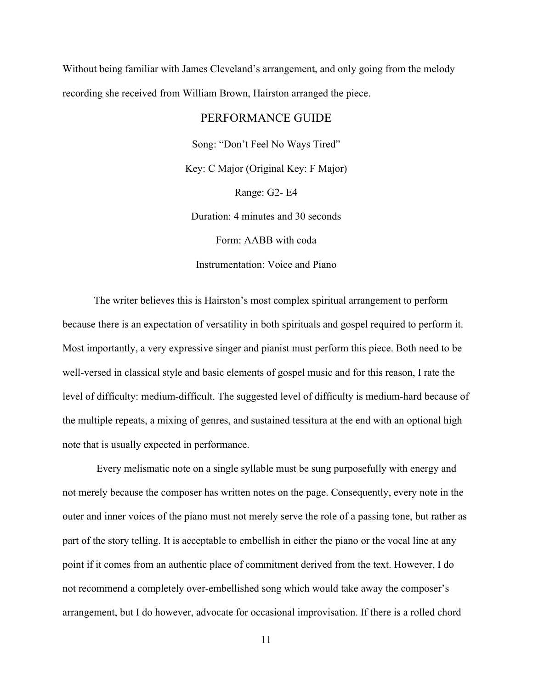Without being familiar with James Cleveland's arrangement, and only going from the melody recording she received from William Brown, Hairston arranged the piece.

#### PERFORMANCE GUIDE

Song: "Don't Feel No Ways Tired" Key: C Major (Original Key: F Major) Range: G2- E4 Duration: 4 minutes and 30 seconds Form: AABB with coda Instrumentation: Voice and Piano

The writer believes this is Hairston's most complex spiritual arrangement to perform because there is an expectation of versatility in both spirituals and gospel required to perform it. Most importantly, a very expressive singer and pianist must perform this piece. Both need to be well-versed in classical style and basic elements of gospel music and for this reason, I rate the level of difficulty: medium-difficult. The suggested level of difficulty is medium-hard because of the multiple repeats, a mixing of genres, and sustained tessitura at the end with an optional high note that is usually expected in performance.

Every melismatic note on a single syllable must be sung purposefully with energy and not merely because the composer has written notes on the page. Consequently, every note in the outer and inner voices of the piano must not merely serve the role of a passing tone, but rather as part of the story telling. It is acceptable to embellish in either the piano or the vocal line at any point if it comes from an authentic place of commitment derived from the text. However, I do not recommend a completely over-embellished song which would take away the composer's arrangement, but I do however, advocate for occasional improvisation. If there is a rolled chord

11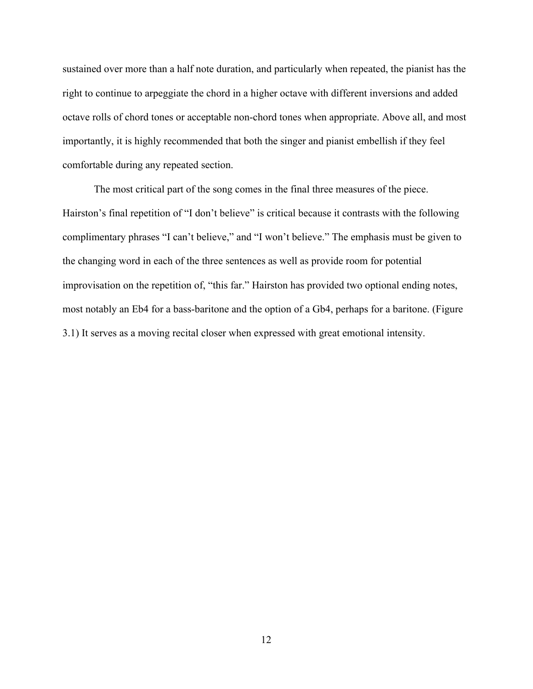sustained over more than a half note duration, and particularly when repeated, the pianist has the right to continue to arpeggiate the chord in a higher octave with different inversions and added octave rolls of chord tones or acceptable non-chord tones when appropriate. Above all, and most importantly, it is highly recommended that both the singer and pianist embellish if they feel comfortable during any repeated section.

The most critical part of the song comes in the final three measures of the piece. Hairston's final repetition of "I don't believe" is critical because it contrasts with the following complimentary phrases "I can't believe," and "I won't believe." The emphasis must be given to the changing word in each of the three sentences as well as provide room for potential improvisation on the repetition of, "this far." Hairston has provided two optional ending notes, most notably an Eb4 for a bass-baritone and the option of a Gb4, perhaps for a baritone. (Figure 3.1) It serves as a moving recital closer when expressed with great emotional intensity.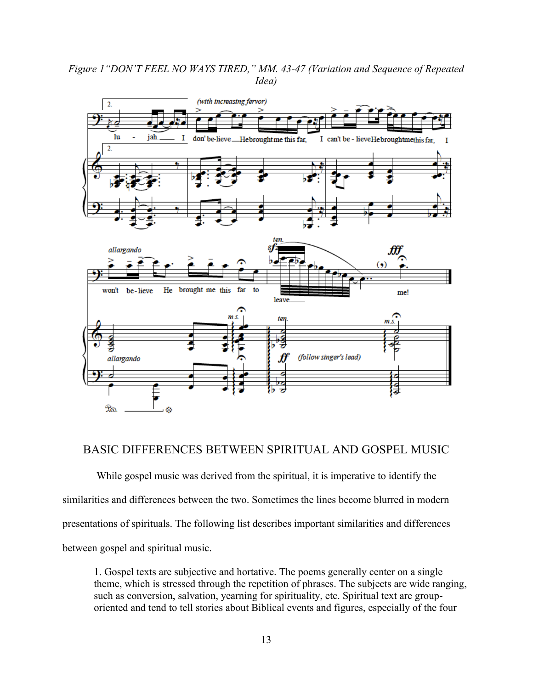*Figure 1"DON'T FEEL NO WAYS TIRED," MM. 43-47 (Variation and Sequence of Repeated Idea)*



### BASIC DIFFERENCES BETWEEN SPIRITUAL AND GOSPEL MUSIC

While gospel music was derived from the spiritual, it is imperative to identify the similarities and differences between the two. Sometimes the lines become blurred in modern presentations of spirituals. The following list describes important similarities and differences between gospel and spiritual music.

1. Gospel texts are subjective and hortative. The poems generally center on a single theme, which is stressed through the repetition of phrases. The subjects are wide ranging, such as conversion, salvation, yearning for spirituality, etc. Spiritual text are grouporiented and tend to tell stories about Biblical events and figures, especially of the four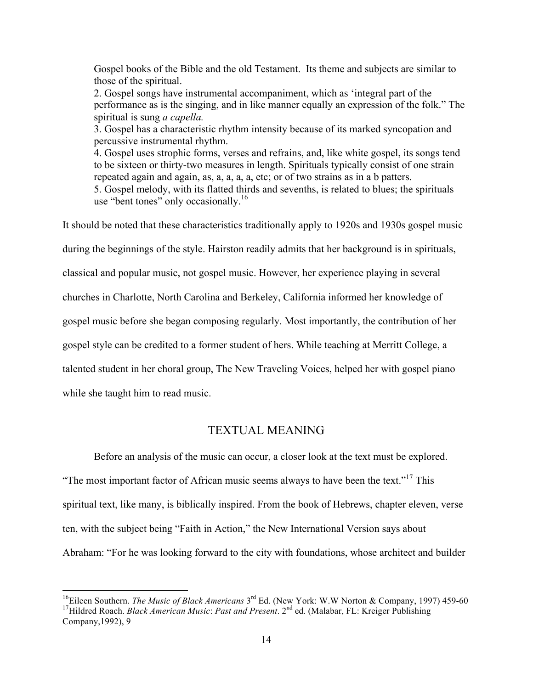Gospel books of the Bible and the old Testament. Its theme and subjects are similar to those of the spiritual.

2. Gospel songs have instrumental accompaniment, which as 'integral part of the performance as is the singing, and in like manner equally an expression of the folk." The spiritual is sung *a capella.*

3. Gospel has a characteristic rhythm intensity because of its marked syncopation and percussive instrumental rhythm.

4. Gospel uses strophic forms, verses and refrains, and, like white gospel, its songs tend to be sixteen or thirty-two measures in length. Spirituals typically consist of one strain repeated again and again, as, a, a, a, a, etc; or of two strains as in a b patters. 5. Gospel melody, with its flatted thirds and sevenths, is related to blues; the spirituals use "bent tones" only occasionally.<sup>16</sup>

It should be noted that these characteristics traditionally apply to 1920s and 1930s gospel music during the beginnings of the style. Hairston readily admits that her background is in spirituals, classical and popular music, not gospel music. However, her experience playing in several churches in Charlotte, North Carolina and Berkeley, California informed her knowledge of gospel music before she began composing regularly. Most importantly, the contribution of her gospel style can be credited to a former student of hers. While teaching at Merritt College, a talented student in her choral group, The New Traveling Voices, helped her with gospel piano while she taught him to read music.

# TEXTUAL MEANING

Before an analysis of the music can occur, a closer look at the text must be explored. "The most important factor of African music seems always to have been the text."<sup>17</sup> This spiritual text, like many, is biblically inspired. From the book of Hebrews, chapter eleven, verse ten, with the subject being "Faith in Action," the New International Version says about Abraham: "For he was looking forward to the city with foundations, whose architect and builder

<sup>&</sup>lt;sup>16</sup>Eileen Southern. *The Music of Black Americans* 3<sup>rd</sup> Ed. (New York: W.W Norton & Company, 1997) 459-60 <sup>17</sup>Hildred Roach. *Black American Music*: *Past and Present*. 2<sup>nd</sup> ed. (Malabar, FL: Kreiger Publishing Company,1992), 9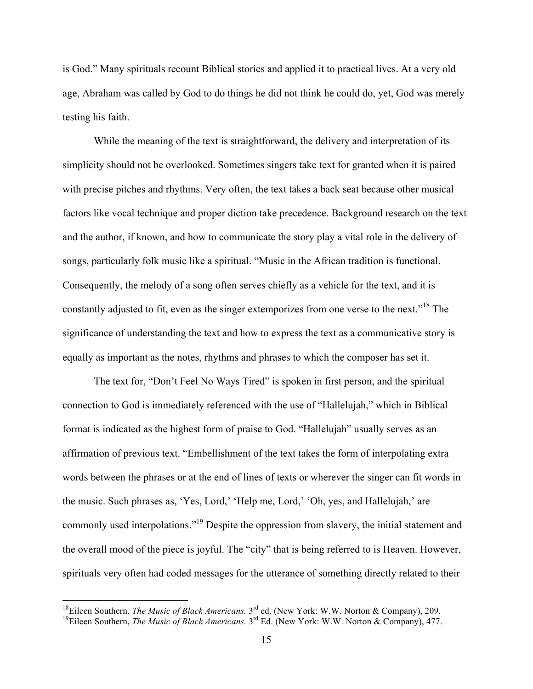is God." Many spirituals recount Biblical stories and applied it to practical lives. At a very old age, Abraham was called by God to do things he did not think he could do, yet, God was merely testing his faith.

While the meaning of the text is straightforward, the delivery and interpretation of its simplicity should not be overlooked. Sometimes singers take text for granted when it is paired with precise pitches and rhythms. Very often, the text takes a back seat because other musical factors like vocal technique and proper diction take precedence. Background research on the text and the author, if known, and how to communicate the story play a vital role in the delivery of songs, particularly folk music like a spiritual. "Music in the African tradition is functional. Consequently, the melody of a song often serves chiefly as a vehicle for the text, and it is constantly adjusted to fit, even as the singer extemporizes from one verse to the next."<sup>18</sup> The significance of understanding the text and how to express the text as a communicative story is equally as important as the notes, rhythms and phrases to which the composer has set it.

The text for, "Don't Feel No Ways Tired" is spoken in first person, and the spiritual connection to God is immediately referenced with the use of "Hallelujah," which in Biblical format is indicated as the highest form of praise to God. "Hallelujah" usually serves as an affirmation of previous text. "Embellishment of the text takes the form of interpolating extra words between the phrases or at the end of lines of texts or wherever the singer can fit words in the music. Such phrases as, 'Yes, Lord,' 'Help me, Lord,' 'Oh, yes, and Hallelujah,' are commonly used interpolations."19 Despite the oppression from slavery, the initial statement and the overall mood of the piece is joyful. The "city" that is being referred to is Heaven. However, spirituals very often had coded messages for the utterance of something directly related to their

<sup>&</sup>lt;sup>18</sup>Eileen Southern. *The Music of Black Americans.* 3<sup>rd</sup> ed. (New York: W.W. Norton & Company), 209.

<sup>&</sup>lt;sup>19</sup>Eileen Southern, *The Music of Black Americans.* 3<sup>rd</sup> Ed. (New York: W.W. Norton & Company), 477.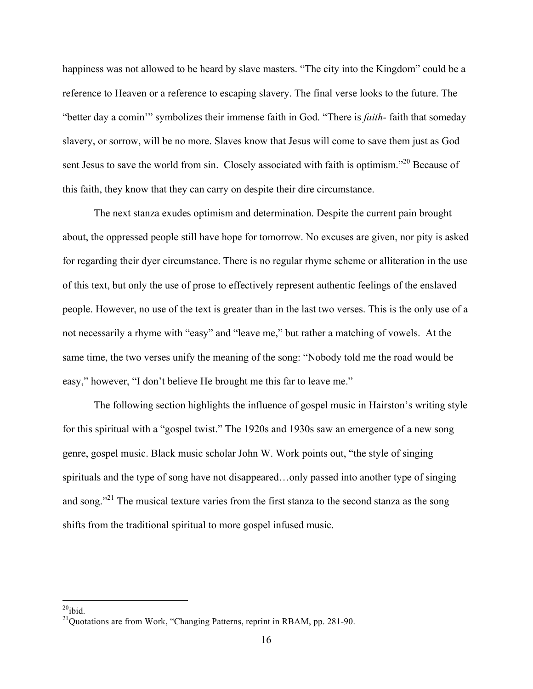happiness was not allowed to be heard by slave masters. "The city into the Kingdom" could be a reference to Heaven or a reference to escaping slavery. The final verse looks to the future. The "better day a comin'" symbolizes their immense faith in God. "There is *faith-* faith that someday slavery, or sorrow, will be no more. Slaves know that Jesus will come to save them just as God sent Jesus to save the world from sin. Closely associated with faith is optimism."<sup>20</sup> Because of this faith, they know that they can carry on despite their dire circumstance.

The next stanza exudes optimism and determination. Despite the current pain brought about, the oppressed people still have hope for tomorrow. No excuses are given, nor pity is asked for regarding their dyer circumstance. There is no regular rhyme scheme or alliteration in the use of this text, but only the use of prose to effectively represent authentic feelings of the enslaved people. However, no use of the text is greater than in the last two verses. This is the only use of a not necessarily a rhyme with "easy" and "leave me," but rather a matching of vowels. At the same time, the two verses unify the meaning of the song: "Nobody told me the road would be easy," however, "I don't believe He brought me this far to leave me."

The following section highlights the influence of gospel music in Hairston's writing style for this spiritual with a "gospel twist." The 1920s and 1930s saw an emergence of a new song genre, gospel music. Black music scholar John W. Work points out, "the style of singing spirituals and the type of song have not disappeared…only passed into another type of singing and song."<sup>21</sup> The musical texture varies from the first stanza to the second stanza as the song shifts from the traditional spiritual to more gospel infused music.

 $20$ ibid.

 $^{21}$ Quotations are from Work, "Changing Patterns, reprint in RBAM, pp. 281-90.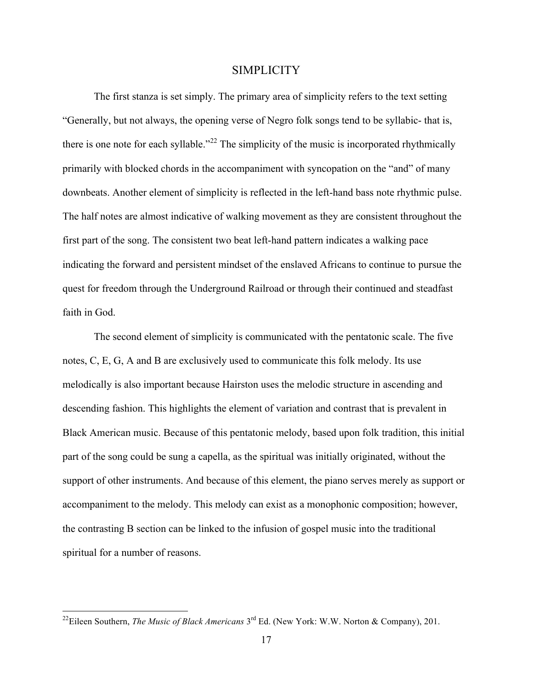#### **SIMPLICITY**

The first stanza is set simply. The primary area of simplicity refers to the text setting "Generally, but not always, the opening verse of Negro folk songs tend to be syllabic- that is, there is one note for each syllable."<sup>22</sup> The simplicity of the music is incorporated rhythmically primarily with blocked chords in the accompaniment with syncopation on the "and" of many downbeats. Another element of simplicity is reflected in the left-hand bass note rhythmic pulse. The half notes are almost indicative of walking movement as they are consistent throughout the first part of the song. The consistent two beat left-hand pattern indicates a walking pace indicating the forward and persistent mindset of the enslaved Africans to continue to pursue the quest for freedom through the Underground Railroad or through their continued and steadfast faith in God.

The second element of simplicity is communicated with the pentatonic scale. The five notes, C, E, G, A and B are exclusively used to communicate this folk melody. Its use melodically is also important because Hairston uses the melodic structure in ascending and descending fashion. This highlights the element of variation and contrast that is prevalent in Black American music. Because of this pentatonic melody, based upon folk tradition, this initial part of the song could be sung a capella, as the spiritual was initially originated, without the support of other instruments. And because of this element, the piano serves merely as support or accompaniment to the melody. This melody can exist as a monophonic composition; however, the contrasting B section can be linked to the infusion of gospel music into the traditional spiritual for a number of reasons.

<sup>&</sup>lt;sup>22</sup>Eileen Southern, *The Music of Black Americans* 3<sup>rd</sup> Ed. (New York: W.W. Norton & Company), 201.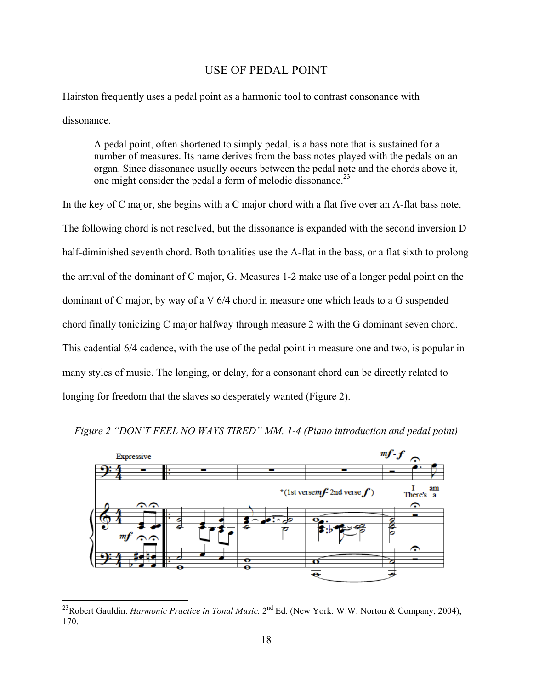# USE OF PEDAL POINT

Hairston frequently uses a pedal point as a harmonic tool to contrast consonance with dissonance.

A pedal point, often shortened to simply pedal, is a bass note that is sustained for a number of measures. Its name derives from the bass notes played with the pedals on an organ. Since dissonance usually occurs between the pedal note and the chords above it, one might consider the pedal a form of melodic dissonance.<sup>23</sup>

In the key of C major, she begins with a C major chord with a flat five over an A-flat bass note. The following chord is not resolved, but the dissonance is expanded with the second inversion D half-diminished seventh chord. Both tonalities use the A-flat in the bass, or a flat sixth to prolong the arrival of the dominant of C major, G. Measures 1-2 make use of a longer pedal point on the dominant of C major, by way of a V 6/4 chord in measure one which leads to a G suspended chord finally tonicizing C major halfway through measure 2 with the G dominant seven chord. This cadential 6/4 cadence, with the use of the pedal point in measure one and two, is popular in many styles of music. The longing, or delay, for a consonant chord can be directly related to longing for freedom that the slaves so desperately wanted (Figure 2).



*Figure 2 "DON'T FEEL NO WAYS TIRED" MM. 1-4 (Piano introduction and pedal point)*

<sup>&</sup>lt;sup>23</sup>Robert Gauldin. *Harmonic Practice in Tonal Music*. 2<sup>nd</sup> Ed. (New York: W.W. Norton & Company, 2004), 170.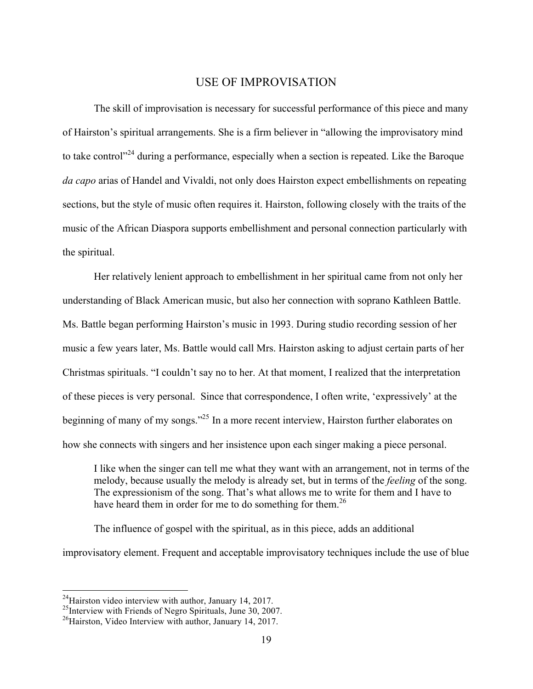## USE OF IMPROVISATION

The skill of improvisation is necessary for successful performance of this piece and many of Hairston's spiritual arrangements. She is a firm believer in "allowing the improvisatory mind to take control<sup> $24$ </sup> during a performance, especially when a section is repeated. Like the Baroque *da capo* arias of Handel and Vivaldi, not only does Hairston expect embellishments on repeating sections, but the style of music often requires it. Hairston, following closely with the traits of the music of the African Diaspora supports embellishment and personal connection particularly with the spiritual.

Her relatively lenient approach to embellishment in her spiritual came from not only her understanding of Black American music, but also her connection with soprano Kathleen Battle. Ms. Battle began performing Hairston's music in 1993. During studio recording session of her music a few years later, Ms. Battle would call Mrs. Hairston asking to adjust certain parts of her Christmas spirituals. "I couldn't say no to her. At that moment, I realized that the interpretation of these pieces is very personal. Since that correspondence, I often write, 'expressively' at the beginning of many of my songs."<sup>25</sup> In a more recent interview, Hairston further elaborates on how she connects with singers and her insistence upon each singer making a piece personal.

I like when the singer can tell me what they want with an arrangement, not in terms of the melody, because usually the melody is already set, but in terms of the *feeling* of the song. The expressionism of the song. That's what allows me to write for them and I have to have heard them in order for me to do something for them.<sup>26</sup>

The influence of gospel with the spiritual, as in this piece, adds an additional improvisatory element. Frequent and acceptable improvisatory techniques include the use of blue

<sup>&</sup>lt;sup>24</sup>Hairston video interview with author, January 14, 2017.<br><sup>25</sup>Interview with Friends of Negro Spirituals, June 30, 2007.

<sup>&</sup>lt;sup>26</sup>Hairston, Video Interview with author, January 14, 2017.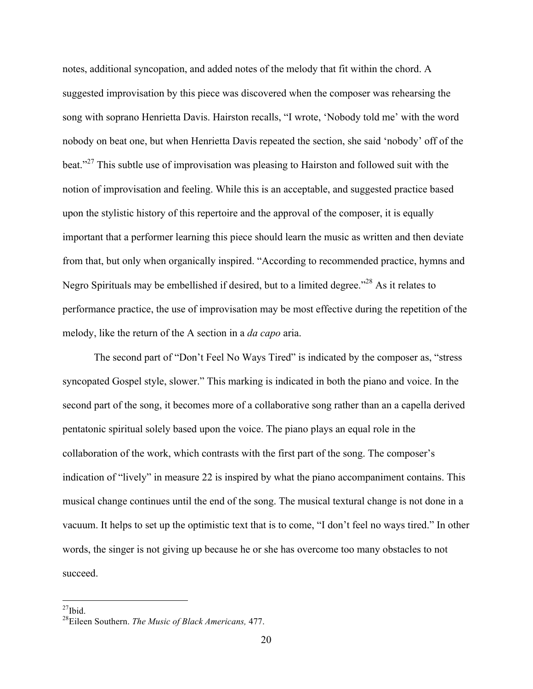notes, additional syncopation, and added notes of the melody that fit within the chord. A suggested improvisation by this piece was discovered when the composer was rehearsing the song with soprano Henrietta Davis. Hairston recalls, "I wrote, 'Nobody told me' with the word nobody on beat one, but when Henrietta Davis repeated the section, she said 'nobody' off of the beat."<sup>27</sup> This subtle use of improvisation was pleasing to Hairston and followed suit with the notion of improvisation and feeling. While this is an acceptable, and suggested practice based upon the stylistic history of this repertoire and the approval of the composer, it is equally important that a performer learning this piece should learn the music as written and then deviate from that, but only when organically inspired. "According to recommended practice, hymns and Negro Spirituals may be embellished if desired, but to a limited degree."<sup>28</sup> As it relates to performance practice, the use of improvisation may be most effective during the repetition of the melody, like the return of the A section in a *da capo* aria.

The second part of "Don't Feel No Ways Tired" is indicated by the composer as, "stress syncopated Gospel style, slower." This marking is indicated in both the piano and voice. In the second part of the song, it becomes more of a collaborative song rather than an a capella derived pentatonic spiritual solely based upon the voice. The piano plays an equal role in the collaboration of the work, which contrasts with the first part of the song. The composer's indication of "lively" in measure 22 is inspired by what the piano accompaniment contains. This musical change continues until the end of the song. The musical textural change is not done in a vacuum. It helps to set up the optimistic text that is to come, "I don't feel no ways tired." In other words, the singer is not giving up because he or she has overcome too many obstacles to not succeed.

 $^{27}$ Ibid.

<sup>28</sup>Eileen Southern. *The Music of Black Americans,* 477.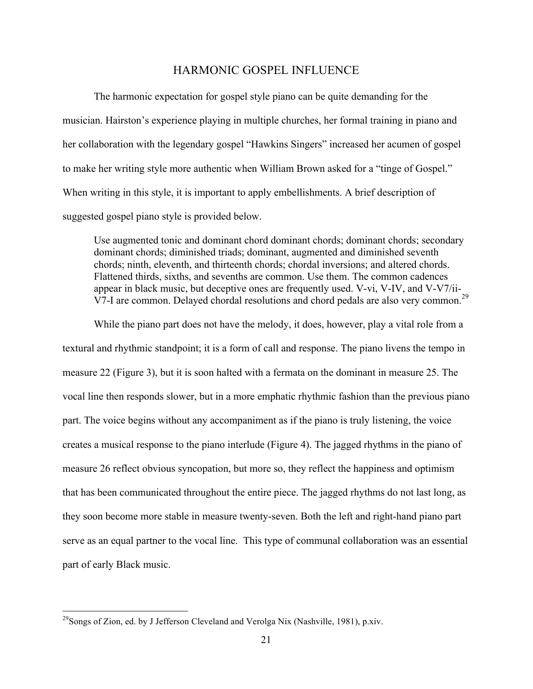## HARMONIC GOSPEL INFLUENCE

The harmonic expectation for gospel style piano can be quite demanding for the musician. Hairston's experience playing in multiple churches, her formal training in piano and her collaboration with the legendary gospel "Hawkins Singers" increased her acumen of gospel to make her writing style more authentic when William Brown asked for a "tinge of Gospel." When writing in this style, it is important to apply embellishments. A brief description of suggested gospel piano style is provided below.

Use augmented tonic and dominant chord dominant chords; dominant chords; secondary dominant chords; diminished triads; dominant, augmented and diminished seventh chords; ninth, eleventh, and thirteenth chords; chordal inversions; and altered chords. Flattened thirds, sixths, and sevenths are common. Use them. The common cadences appear in black music, but deceptive ones are frequently used. V-vi, V-IV, and V-V7/ii-V7-I are common. Delayed chordal resolutions and chord pedals are also very common.<sup>29</sup>

While the piano part does not have the melody, it does, however, play a vital role from a textural and rhythmic standpoint; it is a form of call and response. The piano livens the tempo in measure 22 (Figure 3), but it is soon halted with a fermata on the dominant in measure 25. The vocal line then responds slower, but in a more emphatic rhythmic fashion than the previous piano part. The voice begins without any accompaniment as if the piano is truly listening, the voice creates a musical response to the piano interlude (Figure 4). The jagged rhythms in the piano of measure 26 reflect obvious syncopation, but more so, they reflect the happiness and optimism that has been communicated throughout the entire piece. The jagged rhythms do not last long, as they soon become more stable in measure twenty-seven. Both the left and right-hand piano part serve as an equal partner to the vocal line. This type of communal collaboration was an essential part of early Black music.

<sup>&</sup>lt;sup>29</sup>Songs of Zion, ed. by J Jefferson Cleveland and Verolga Nix (Nashville, 1981), p.xiv.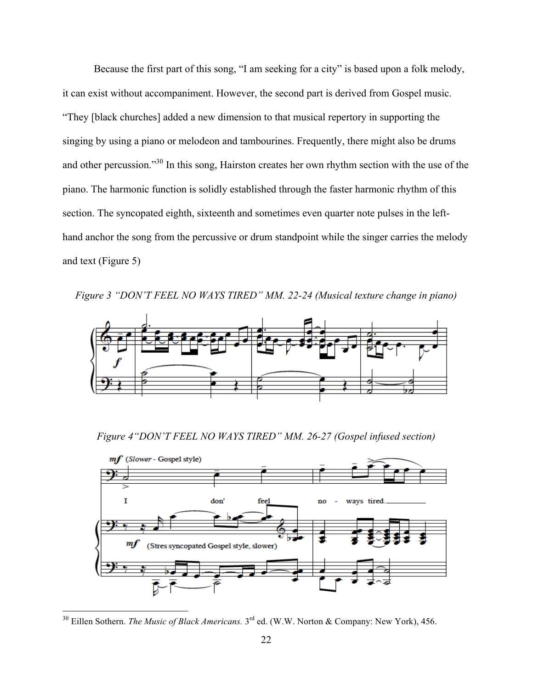Because the first part of this song, "I am seeking for a city" is based upon a folk melody, it can exist without accompaniment. However, the second part is derived from Gospel music. "They [black churches] added a new dimension to that musical repertory in supporting the singing by using a piano or melodeon and tambourines. Frequently, there might also be drums and other percussion."<sup>30</sup> In this song, Hairston creates her own rhythm section with the use of the piano. The harmonic function is solidly established through the faster harmonic rhythm of this section. The syncopated eighth, sixteenth and sometimes even quarter note pulses in the lefthand anchor the song from the percussive or drum standpoint while the singer carries the melody and text (Figure 5)

*Figure 3 "DON'T FEEL NO WAYS TIRED" MM. 22-24 (Musical texture change in piano)*



*Figure 4"DON'T FEEL NO WAYS TIRED" MM. 26-27 (Gospel infused section)*



<sup>&</sup>lt;sup>30</sup> Eillen Sothern. *The Music of Black Americans.* 3<sup>rd</sup> ed. (W.W. Norton & Company: New York), 456.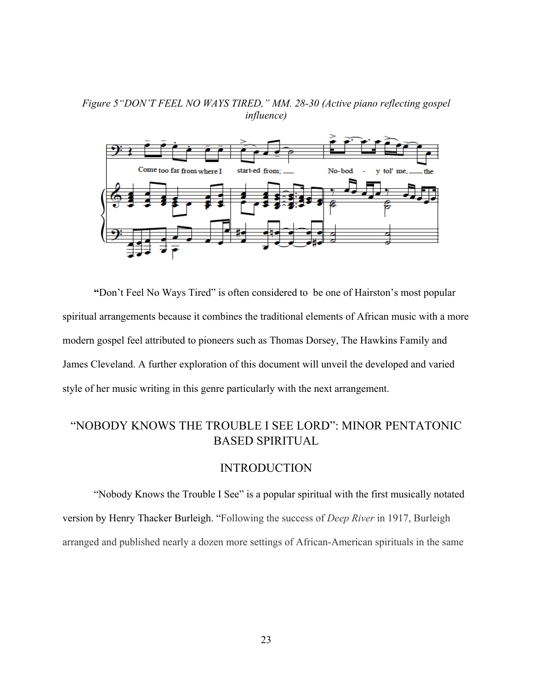*Figure 5"DON'T FEEL NO WAYS TIRED," MM. 28-30 (Active piano reflecting gospel influence)*



**"**Don't Feel No Ways Tired" is often considered to be one of Hairston's most popular spiritual arrangements because it combines the traditional elements of African music with a more modern gospel feel attributed to pioneers such as Thomas Dorsey, The Hawkins Family and James Cleveland. A further exploration of this document will unveil the developed and varied style of her music writing in this genre particularly with the next arrangement.

# "NOBODY KNOWS THE TROUBLE I SEE LORD": MINOR PENTATONIC BASED SPIRITUAL

### INTRODUCTION

"Nobody Knows the Trouble I See" is a popular spiritual with the first musically notated version by Henry Thacker Burleigh. "Following the success of *Deep River* in 1917, Burleigh arranged and published nearly a dozen more settings of African-American spirituals in the same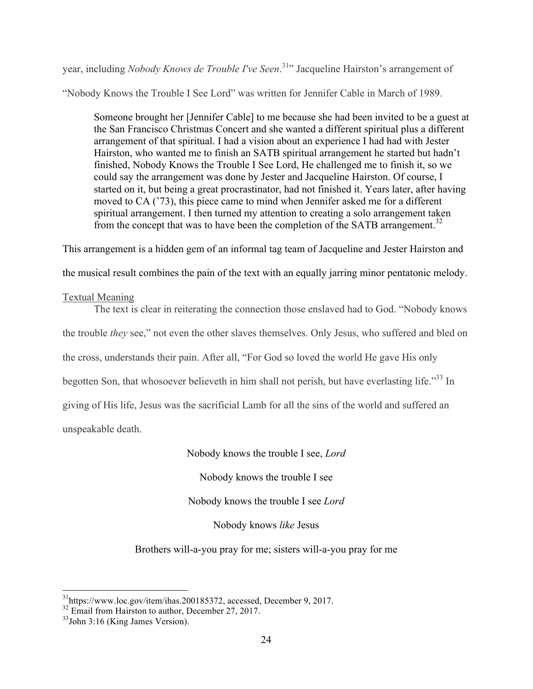year, including *Nobody Knows de Trouble I've Seen*. 31" Jacqueline Hairston's arrangement of

"Nobody Knows the Trouble I See Lord" was written for Jennifer Cable in March of 1989.

Someone brought her [Jennifer Cable] to me because she had been invited to be a guest at the San Francisco Christmas Concert and she wanted a different spiritual plus a different arrangement of that spiritual. I had a vision about an experience I had had with Jester Hairston, who wanted me to finish an SATB spiritual arrangement he started but hadn't finished, Nobody Knows the Trouble I See Lord, He challenged me to finish it, so we could say the arrangement was done by Jester and Jacqueline Hairston. Of course, I started on it, but being a great procrastinator, had not finished it. Years later, after having moved to CA ('73), this piece came to mind when Jennifer asked me for a different spiritual arrangement. I then turned my attention to creating a solo arrangement taken from the concept that was to have been the completion of the SATB arrangement.<sup>32</sup>

This arrangement is a hidden gem of an informal tag team of Jacqueline and Jester Hairston and

the musical result combines the pain of the text with an equally jarring minor pentatonic melody.

# Textual Meaning

The text is clear in reiterating the connection those enslaved had to God. "Nobody knows the trouble *they* see," not even the other slaves themselves. Only Jesus, who suffered and bled on the cross, understands their pain. After all, "For God so loved the world He gave His only begotten Son, that whosoever believeth in him shall not perish, but have everlasting life."<sup>33</sup> In giving of His life, Jesus was the sacrificial Lamb for all the sins of the world and suffered an unspeakable death.

# Nobody knows the trouble I see, *Lord*

Nobody knows the trouble I see

Nobody knows the trouble I see *Lord*

Nobody knows *like* Jesus

Brothers will-a-you pray for me; sisters will-a-you pray for me

 <sup>31</sup>https://www.loc.gov/item/ihas.200185372, accessed, December 9, 2017.

 $32$  Email from Hairston to author, December 27, 2017.

 $33$ John 3:16 (King James Version).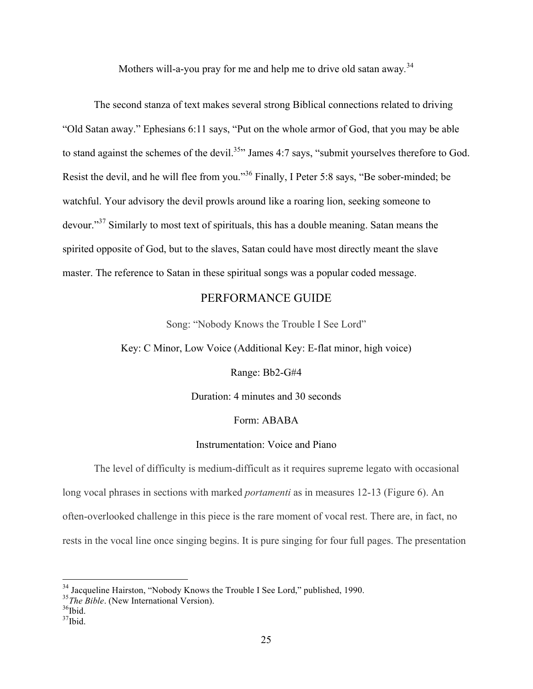Mothers will-a-you pray for me and help me to drive old satan away*.* 34

The second stanza of text makes several strong Biblical connections related to driving "Old Satan away." Ephesians 6:11 says, "Put on the whole armor of God, that you may be able to stand against the schemes of the devil.<sup>35</sup>" James 4:7 says, "submit yourselves therefore to God. Resist the devil, and he will flee from you."<sup>36</sup> Finally, I Peter 5:8 says, "Be sober-minded; be watchful. Your advisory the devil prowls around like a roaring lion, seeking someone to devour."<sup>37</sup> Similarly to most text of spirituals, this has a double meaning. Satan means the spirited opposite of God, but to the slaves, Satan could have most directly meant the slave master. The reference to Satan in these spiritual songs was a popular coded message.

# PERFORMANCE GUIDE

Song: "Nobody Knows the Trouble I See Lord"

Key: C Minor, Low Voice (Additional Key: E-flat minor, high voice)

Range: Bb2-G#4

Duration: 4 minutes and 30 seconds

#### Form: ABABA

#### Instrumentation: Voice and Piano

The level of difficulty is medium-difficult as it requires supreme legato with occasional long vocal phrases in sections with marked *portamenti* as in measures 12-13 (Figure 6). An often-overlooked challenge in this piece is the rare moment of vocal rest. There are, in fact, no rests in the vocal line once singing begins. It is pure singing for four full pages. The presentation

 <sup>34</sup> Jacqueline Hairston, "Nobody Knows the Trouble I See Lord," published, 1990.

<sup>&</sup>lt;sup>35</sup>The Bible. (New International Version).

 $36$ Ibid.

 $37$ Ibid.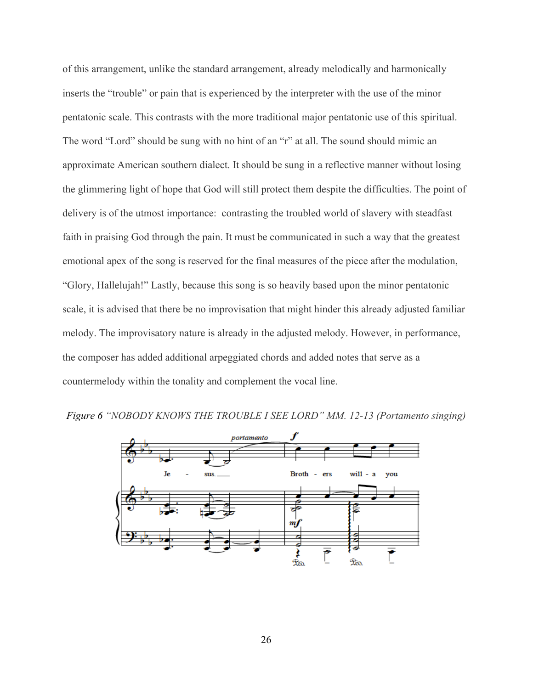of this arrangement, unlike the standard arrangement, already melodically and harmonically inserts the "trouble" or pain that is experienced by the interpreter with the use of the minor pentatonic scale. This contrasts with the more traditional major pentatonic use of this spiritual. The word "Lord" should be sung with no hint of an "r" at all. The sound should mimic an approximate American southern dialect. It should be sung in a reflective manner without losing the glimmering light of hope that God will still protect them despite the difficulties. The point of delivery is of the utmost importance: contrasting the troubled world of slavery with steadfast faith in praising God through the pain. It must be communicated in such a way that the greatest emotional apex of the song is reserved for the final measures of the piece after the modulation, "Glory, Hallelujah!" Lastly, because this song is so heavily based upon the minor pentatonic scale, it is advised that there be no improvisation that might hinder this already adjusted familiar melody. The improvisatory nature is already in the adjusted melody. However, in performance, the composer has added additional arpeggiated chords and added notes that serve as a countermelody within the tonality and complement the vocal line.



*Figure 6 "NOBODY KNOWS THE TROUBLE I SEE LORD" MM. 12-13 (Portamento singing)*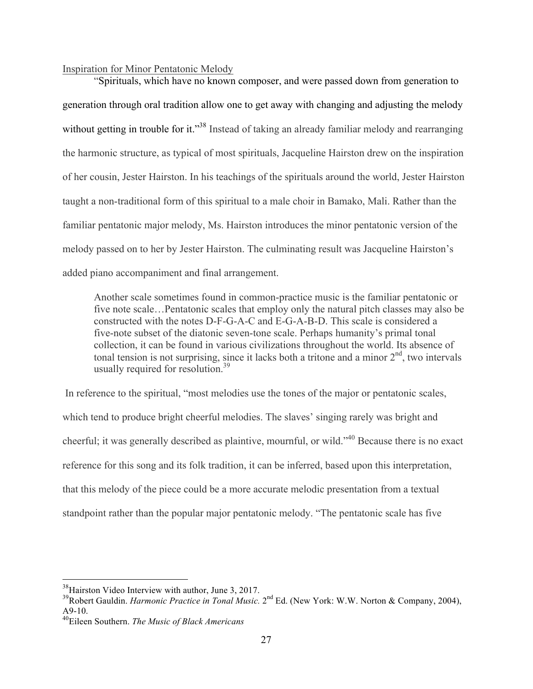#### Inspiration for Minor Pentatonic Melody

"Spirituals, which have no known composer, and were passed down from generation to generation through oral tradition allow one to get away with changing and adjusting the melody without getting in trouble for it."<sup>38</sup> Instead of taking an already familiar melody and rearranging the harmonic structure, as typical of most spirituals, Jacqueline Hairston drew on the inspiration of her cousin, Jester Hairston. In his teachings of the spirituals around the world, Jester Hairston taught a non-traditional form of this spiritual to a male choir in Bamako, Mali. Rather than the familiar pentatonic major melody, Ms. Hairston introduces the minor pentatonic version of the melody passed on to her by Jester Hairston. The culminating result was Jacqueline Hairston's added piano accompaniment and final arrangement.

Another scale sometimes found in common-practice music is the familiar pentatonic or five note scale…Pentatonic scales that employ only the natural pitch classes may also be constructed with the notes D-F-G-A-C and E-G-A-B-D. This scale is considered a five-note subset of the diatonic seven-tone scale. Perhaps humanity's primal tonal collection, it can be found in various civilizations throughout the world. Its absence of tonal tension is not surprising, since it lacks both a tritone and a minor  $2<sup>nd</sup>$ , two intervals usually required for resolution.<sup>39</sup>

In reference to the spiritual, "most melodies use the tones of the major or pentatonic scales, which tend to produce bright cheerful melodies. The slaves' singing rarely was bright and cheerful; it was generally described as plaintive, mournful, or wild."40 Because there is no exact reference for this song and its folk tradition, it can be inferred, based upon this interpretation, that this melody of the piece could be a more accurate melodic presentation from a textual standpoint rather than the popular major pentatonic melody. "The pentatonic scale has five

<sup>&</sup>lt;sup>38</sup>Hairston Video Interview with author, June 3, 2017.

<sup>&</sup>lt;sup>39</sup>Robert Gauldin. *Harmonic Practice in Tonal Music*. 2<sup>nd</sup> Ed. (New York: W.W. Norton & Company, 2004), A9-10.

<sup>40</sup>Eileen Southern. *The Music of Black Americans*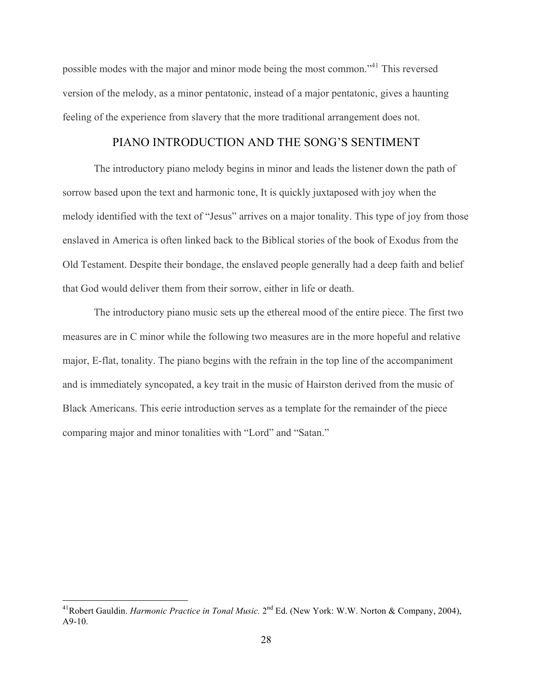possible modes with the major and minor mode being the most common."41 This reversed version of the melody, as a minor pentatonic, instead of a major pentatonic, gives a haunting feeling of the experience from slavery that the more traditional arrangement does not.

## PIANO INTRODUCTION AND THE SONG'S SENTIMENT

The introductory piano melody begins in minor and leads the listener down the path of sorrow based upon the text and harmonic tone, It is quickly juxtaposed with joy when the melody identified with the text of "Jesus" arrives on a major tonality. This type of joy from those enslaved in America is often linked back to the Biblical stories of the book of Exodus from the Old Testament. Despite their bondage, the enslaved people generally had a deep faith and belief that God would deliver them from their sorrow, either in life or death.

The introductory piano music sets up the ethereal mood of the entire piece. The first two measures are in C minor while the following two measures are in the more hopeful and relative major, E-flat, tonality. The piano begins with the refrain in the top line of the accompaniment and is immediately syncopated, a key trait in the music of Hairston derived from the music of Black Americans. This eerie introduction serves as a template for the remainder of the piece comparing major and minor tonalities with "Lord" and "Satan."

<sup>&</sup>lt;sup>41</sup>Robert Gauldin. *Harmonic Practice in Tonal Music*. 2<sup>nd</sup> Ed. (New York: W.W. Norton & Company, 2004),  $A9-10.$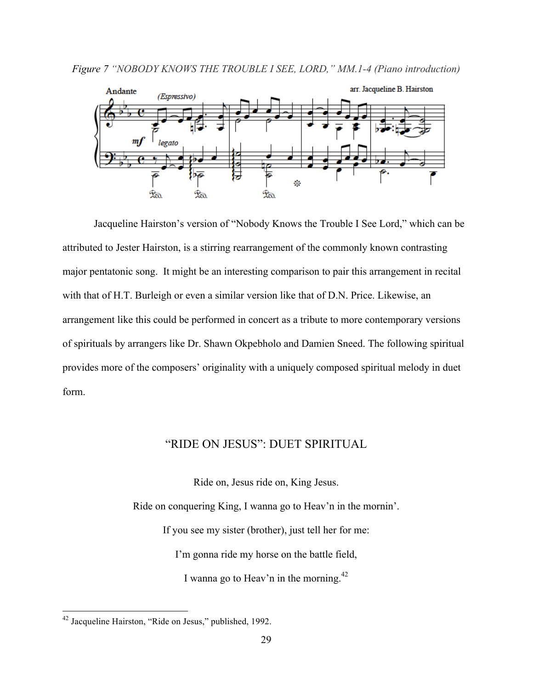



Jacqueline Hairston's version of "Nobody Knows the Trouble I See Lord," which can be attributed to Jester Hairston, is a stirring rearrangement of the commonly known contrasting major pentatonic song. It might be an interesting comparison to pair this arrangement in recital with that of H.T. Burleigh or even a similar version like that of D.N. Price. Likewise, an arrangement like this could be performed in concert as a tribute to more contemporary versions of spirituals by arrangers like Dr. Shawn Okpebholo and Damien Sneed. The following spiritual provides more of the composers' originality with a uniquely composed spiritual melody in duet form.

## "RIDE ON JESUS": DUET SPIRITUAL

Ride on, Jesus ride on, King Jesus.

Ride on conquering King, I wanna go to Heav'n in the mornin'.

If you see my sister (brother), just tell her for me:

I'm gonna ride my horse on the battle field,

I wanna go to Heav'n in the morning. $^{42}$ 

 <sup>42</sup> Jacqueline Hairston, "Ride on Jesus," published, 1992.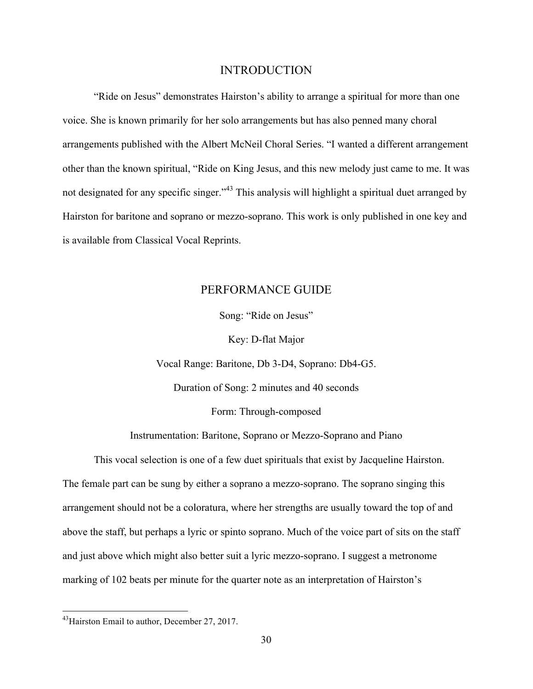#### INTRODUCTION

"Ride on Jesus" demonstrates Hairston's ability to arrange a spiritual for more than one voice. She is known primarily for her solo arrangements but has also penned many choral arrangements published with the Albert McNeil Choral Series. "I wanted a different arrangement other than the known spiritual, "Ride on King Jesus, and this new melody just came to me. It was not designated for any specific singer."<sup>43</sup> This analysis will highlight a spiritual duet arranged by Hairston for baritone and soprano or mezzo-soprano. This work is only published in one key and is available from Classical Vocal Reprints.

### PERFORMANCE GUIDE

Song: "Ride on Jesus"

Key: D-flat Major

Vocal Range: Baritone, Db 3-D4, Soprano: Db4-G5.

Duration of Song: 2 minutes and 40 seconds

Form: Through-composed

Instrumentation: Baritone, Soprano or Mezzo-Soprano and Piano

This vocal selection is one of a few duet spirituals that exist by Jacqueline Hairston. The female part can be sung by either a soprano a mezzo-soprano. The soprano singing this arrangement should not be a coloratura, where her strengths are usually toward the top of and above the staff, but perhaps a lyric or spinto soprano. Much of the voice part of sits on the staff and just above which might also better suit a lyric mezzo-soprano. I suggest a metronome marking of 102 beats per minute for the quarter note as an interpretation of Hairston's

<sup>&</sup>lt;sup>43</sup> Hairston Email to author, December 27, 2017.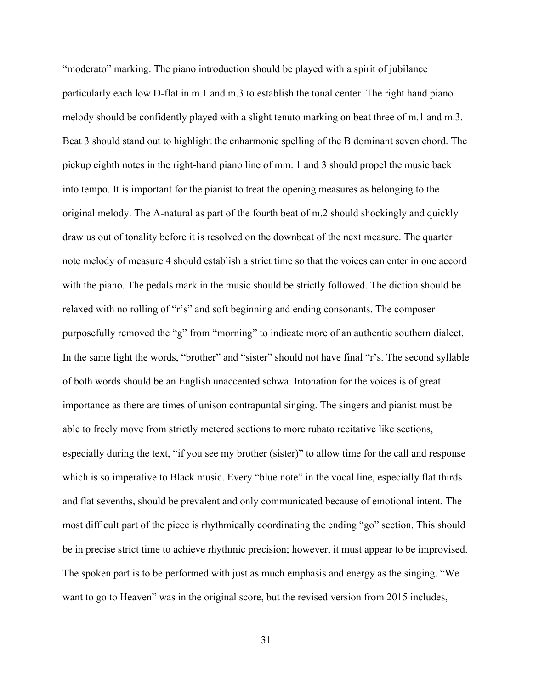"moderato" marking. The piano introduction should be played with a spirit of jubilance particularly each low D-flat in m.1 and m.3 to establish the tonal center. The right hand piano melody should be confidently played with a slight tenuto marking on beat three of m.1 and m.3. Beat 3 should stand out to highlight the enharmonic spelling of the B dominant seven chord. The pickup eighth notes in the right-hand piano line of mm. 1 and 3 should propel the music back into tempo. It is important for the pianist to treat the opening measures as belonging to the original melody. The A-natural as part of the fourth beat of m.2 should shockingly and quickly draw us out of tonality before it is resolved on the downbeat of the next measure. The quarter note melody of measure 4 should establish a strict time so that the voices can enter in one accord with the piano. The pedals mark in the music should be strictly followed. The diction should be relaxed with no rolling of "r's" and soft beginning and ending consonants. The composer purposefully removed the "g" from "morning" to indicate more of an authentic southern dialect. In the same light the words, "brother" and "sister" should not have final "r's. The second syllable of both words should be an English unaccented schwa. Intonation for the voices is of great importance as there are times of unison contrapuntal singing. The singers and pianist must be able to freely move from strictly metered sections to more rubato recitative like sections, especially during the text, "if you see my brother (sister)" to allow time for the call and response which is so imperative to Black music. Every "blue note" in the vocal line, especially flat thirds and flat sevenths, should be prevalent and only communicated because of emotional intent. The most difficult part of the piece is rhythmically coordinating the ending "go" section. This should be in precise strict time to achieve rhythmic precision; however, it must appear to be improvised. The spoken part is to be performed with just as much emphasis and energy as the singing. "We want to go to Heaven" was in the original score, but the revised version from 2015 includes,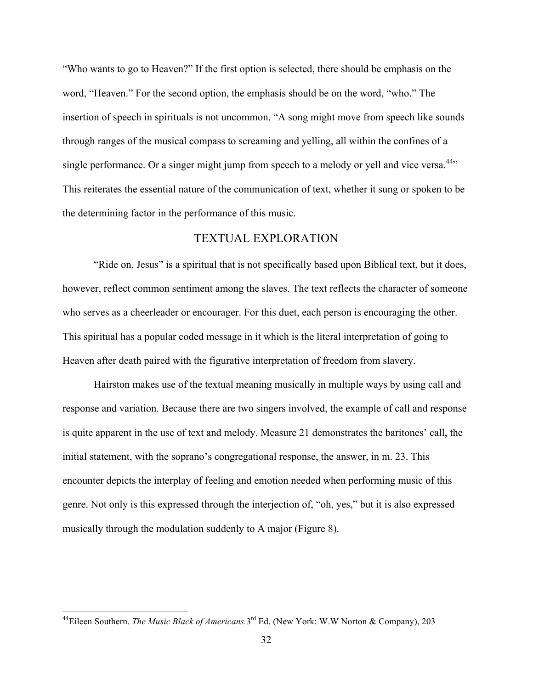"Who wants to go to Heaven?" If the first option is selected, there should be emphasis on the word, "Heaven." For the second option, the emphasis should be on the word, "who." The insertion of speech in spirituals is not uncommon. "A song might move from speech like sounds through ranges of the musical compass to screaming and yelling, all within the confines of a single performance. Or a singer might jump from speech to a melody or yell and vice versa.<sup>44</sup>" This reiterates the essential nature of the communication of text, whether it sung or spoken to be the determining factor in the performance of this music.

#### TEXTUAL EXPLORATION

"Ride on, Jesus" is a spiritual that is not specifically based upon Biblical text, but it does, however, reflect common sentiment among the slaves. The text reflects the character of someone who serves as a cheerleader or encourager. For this duet, each person is encouraging the other. This spiritual has a popular coded message in it which is the literal interpretation of going to Heaven after death paired with the figurative interpretation of freedom from slavery.

Hairston makes use of the textual meaning musically in multiple ways by using call and response and variation. Because there are two singers involved, the example of call and response is quite apparent in the use of text and melody. Measure 21 demonstrates the baritones' call, the initial statement, with the soprano's congregational response, the answer, in m. 23. This encounter depicts the interplay of feeling and emotion needed when performing music of this genre. Not only is this expressed through the interjection of, "oh, yes," but it is also expressed musically through the modulation suddenly to A major (Figure 8).

 <sup>44</sup>Eileen Southern. *The Music Black of Americans.*3rd Ed. (New York: W.W Norton & Company), 203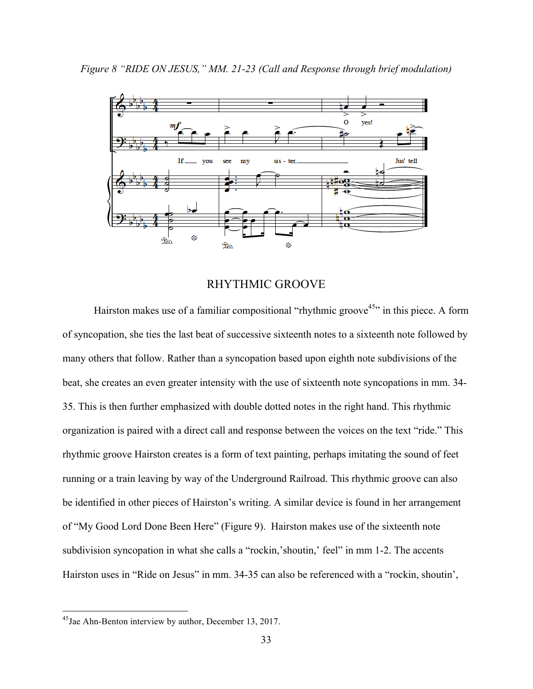

## RHYTHMIC GROOVE

Hairston makes use of a familiar compositional "rhythmic groove<sup>45</sup>" in this piece. A form of syncopation, she ties the last beat of successive sixteenth notes to a sixteenth note followed by many others that follow. Rather than a syncopation based upon eighth note subdivisions of the beat, she creates an even greater intensity with the use of sixteenth note syncopations in mm. 34- 35. This is then further emphasized with double dotted notes in the right hand. This rhythmic organization is paired with a direct call and response between the voices on the text "ride." This rhythmic groove Hairston creates is a form of text painting, perhaps imitating the sound of feet running or a train leaving by way of the Underground Railroad. This rhythmic groove can also be identified in other pieces of Hairston's writing. A similar device is found in her arrangement of "My Good Lord Done Been Here" (Figure 9). Hairston makes use of the sixteenth note subdivision syncopation in what she calls a "rockin, shoutin," feel" in mm 1-2. The accents Hairston uses in "Ride on Jesus" in mm. 34-35 can also be referenced with a "rockin, shoutin',

<sup>&</sup>lt;sup>45</sup>Jae Ahn-Benton interview by author, December 13, 2017.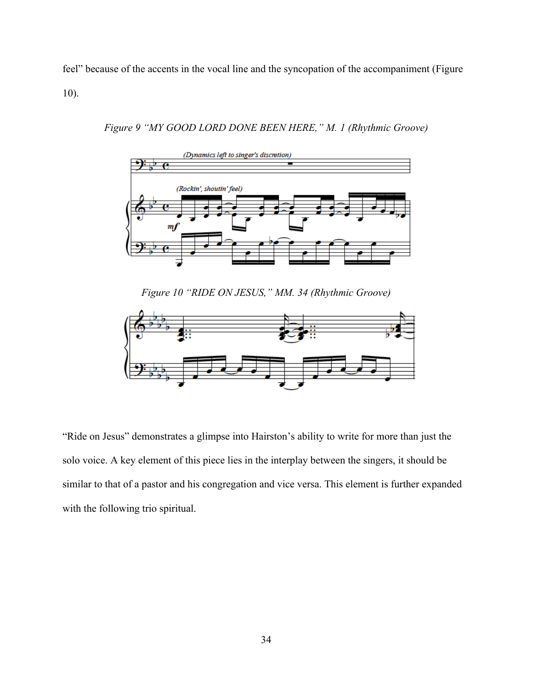feel" because of the accents in the vocal line and the syncopation of the accompaniment (Figure 10).



*Figure 9 "MY GOOD LORD DONE BEEN HERE," M. 1 (Rhythmic Groove)*

*Figure 10 "RIDE ON JESUS," MM. 34 (Rhythmic Groove)*



"Ride on Jesus" demonstrates a glimpse into Hairston's ability to write for more than just the solo voice. A key element of this piece lies in the interplay between the singers, it should be similar to that of a pastor and his congregation and vice versa. This element is further expanded with the following trio spiritual.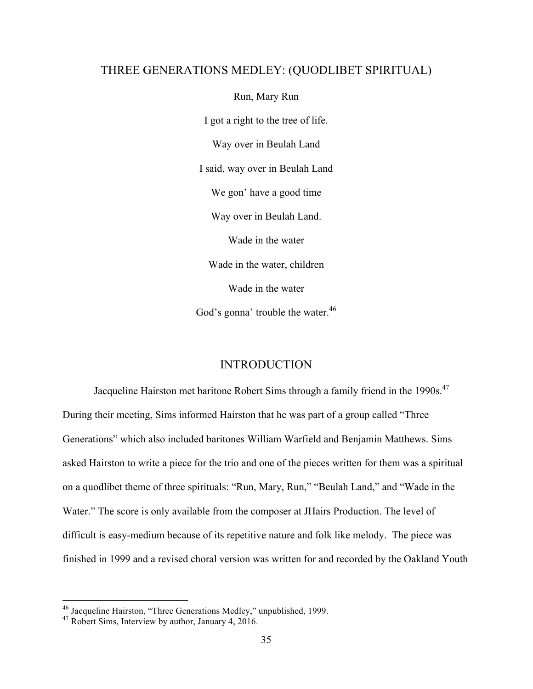#### THREE GENERATIONS MEDLEY: (QUODLIBET SPIRITUAL)

Run, Mary Run I got a right to the tree of life. Way over in Beulah Land I said, way over in Beulah Land We gon' have a good time Way over in Beulah Land. Wade in the water Wade in the water, children Wade in the water God's gonna' trouble the water.<sup>46</sup>

## INTRODUCTION

Jacqueline Hairston met baritone Robert Sims through a family friend in the 1990s.<sup>47</sup> During their meeting, Sims informed Hairston that he was part of a group called "Three Generations" which also included baritones William Warfield and Benjamin Matthews. Sims asked Hairston to write a piece for the trio and one of the pieces written for them was a spiritual on a quodlibet theme of three spirituals: "Run, Mary, Run," "Beulah Land," and "Wade in the Water." The score is only available from the composer at JHairs Production. The level of difficult is easy-medium because of its repetitive nature and folk like melody. The piece was finished in 1999 and a revised choral version was written for and recorded by the Oakland Youth

 <sup>46</sup> Jacqueline Hairston, "Three Generations Medley," unpublished, 1999.

<sup>&</sup>lt;sup>47</sup> Robert Sims, Interview by author, January 4, 2016.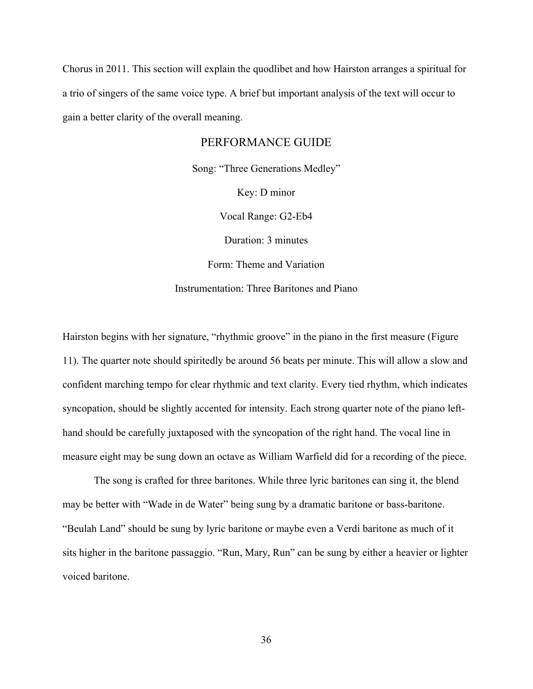Chorus in 2011. This section will explain the quodlibet and how Hairston arranges a spiritual for a trio of singers of the same voice type. A brief but important analysis of the text will occur to gain a better clarity of the overall meaning.

#### PERFORMANCE GUIDE

Song: "Three Generations Medley"

Key: D minor

Vocal Range: G2-Eb4

Duration: 3 minutes

Form: Theme and Variation

Instrumentation: Three Baritones and Piano

Hairston begins with her signature, "rhythmic groove" in the piano in the first measure (Figure 11). The quarter note should spiritedly be around 56 beats per minute. This will allow a slow and confident marching tempo for clear rhythmic and text clarity. Every tied rhythm, which indicates syncopation, should be slightly accented for intensity. Each strong quarter note of the piano lefthand should be carefully juxtaposed with the syncopation of the right hand. The vocal line in measure eight may be sung down an octave as William Warfield did for a recording of the piece.

The song is crafted for three baritones. While three lyric baritones can sing it, the blend may be better with "Wade in de Water" being sung by a dramatic baritone or bass-baritone. "Beulah Land" should be sung by lyric baritone or maybe even a Verdi baritone as much of it sits higher in the baritone passaggio. "Run, Mary, Run" can be sung by either a heavier or lighter voiced baritone.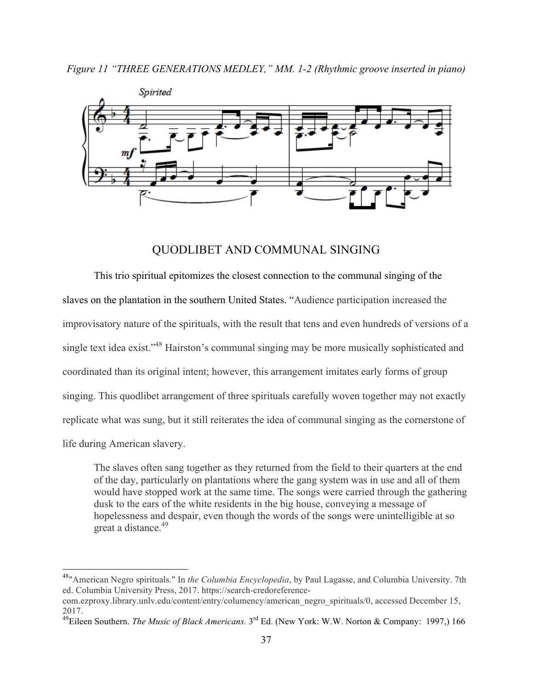

### QUODLIBET AND COMMUNAL SINGING

This trio spiritual epitomizes the closest connection to the communal singing of the slaves on the plantation in the southern United States. "Audience participation increased the improvisatory nature of the spirituals, with the result that tens and even hundreds of versions of a single text idea exist."<sup>48</sup> Hairston's communal singing may be more musically sophisticated and coordinated than its original intent; however, this arrangement imitates early forms of group singing. This quodlibet arrangement of three spirituals carefully woven together may not exactly replicate what was sung, but it still reiterates the idea of communal singing as the cornerstone of life during American slavery.

The slaves often sang together as they returned from the field to their quarters at the end of the day, particularly on plantations where the gang system was in use and all of them would have stopped work at the same time. The songs were carried through the gathering dusk to the ears of the white residents in the big house, conveying a message of hopelessness and despair, even though the words of the songs were unintelligible at so great a distance.<sup>49</sup>

 <sup>48&</sup>quot;American Negro spirituals." In *the Columbia Encyclopedia*, by Paul Lagasse, and Columbia University. 7th ed. Columbia University Press, 2017. https://search-credoreference-

com.ezproxy.library.unlv.edu/content/entry/columency/american\_negro\_spirituals/0, accessed December 15, 2017.

<sup>49</sup>Eileen Southern. *The Music of Black Americans.* 3rd Ed. (New York: W.W. Norton & Company: 1997,) 166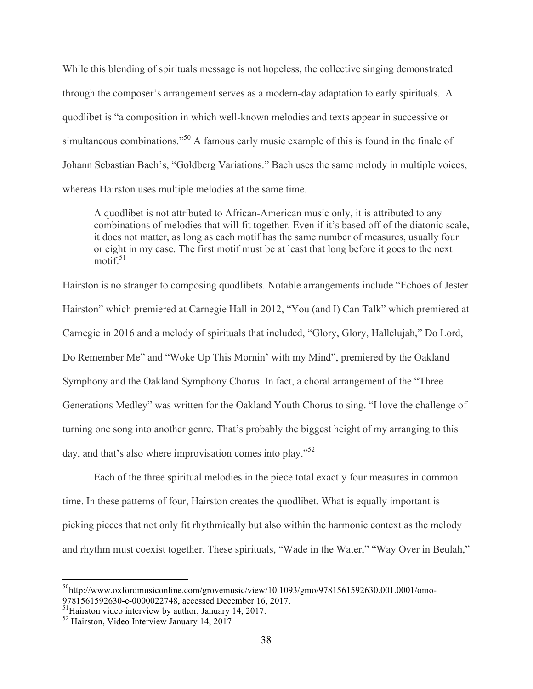While this blending of spirituals message is not hopeless, the collective singing demonstrated through the composer's arrangement serves as a modern-day adaptation to early spirituals. A quodlibet is "a composition in which well-known melodies and texts appear in successive or simultaneous combinations."<sup>50</sup> A famous early music example of this is found in the finale of Johann Sebastian Bach's, "Goldberg Variations." Bach uses the same melody in multiple voices, whereas Hairston uses multiple melodies at the same time.

A quodlibet is not attributed to African-American music only, it is attributed to any combinations of melodies that will fit together. Even if it's based off of the diatonic scale, it does not matter, as long as each motif has the same number of measures, usually four or eight in my case. The first motif must be at least that long before it goes to the next  $\text{motif}^{\text{51}}$ 

Hairston is no stranger to composing quodlibets. Notable arrangements include "Echoes of Jester Hairston" which premiered at Carnegie Hall in 2012, "You (and I) Can Talk" which premiered at Carnegie in 2016 and a melody of spirituals that included, "Glory, Glory, Hallelujah," Do Lord, Do Remember Me" and "Woke Up This Mornin' with my Mind", premiered by the Oakland Symphony and the Oakland Symphony Chorus. In fact, a choral arrangement of the "Three Generations Medley" was written for the Oakland Youth Chorus to sing. "I love the challenge of turning one song into another genre. That's probably the biggest height of my arranging to this day, and that's also where improvisation comes into play."<sup>52</sup>

Each of the three spiritual melodies in the piece total exactly four measures in common time. In these patterns of four, Hairston creates the quodlibet. What is equally important is picking pieces that not only fit rhythmically but also within the harmonic context as the melody and rhythm must coexist together. These spirituals, "Wade in the Water," "Way Over in Beulah,"

 $50$ http://www.oxfordmusiconline.com/grovemusic/view/10.1093/gmo/9781561592630.001.0001/omo-9781561592630-e-0000022748, accessed December 16, 2017.

<sup>51</sup>Hairston video interview by author, January 14, 2017.

<sup>&</sup>lt;sup>52</sup> Hairston, Video Interview January 14, 2017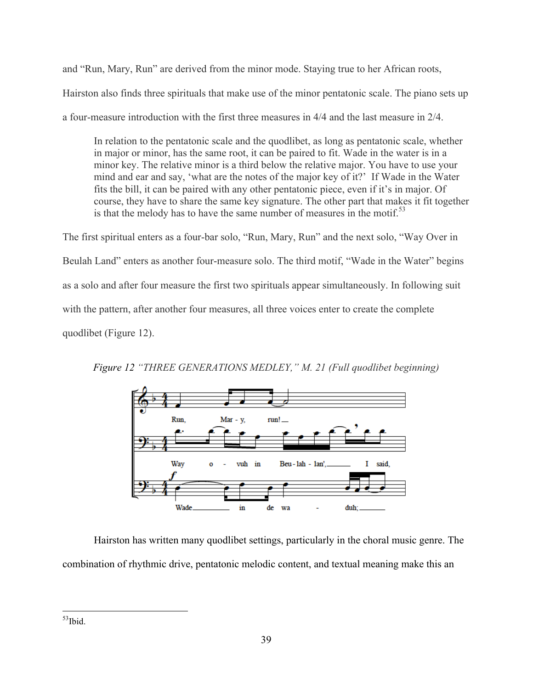and "Run, Mary, Run" are derived from the minor mode. Staying true to her African roots, Hairston also finds three spirituals that make use of the minor pentatonic scale. The piano sets up a four-measure introduction with the first three measures in 4/4 and the last measure in 2/4.

In relation to the pentatonic scale and the quodlibet, as long as pentatonic scale, whether in major or minor, has the same root, it can be paired to fit. Wade in the water is in a minor key. The relative minor is a third below the relative major. You have to use your mind and ear and say, 'what are the notes of the major key of it?' If Wade in the Water fits the bill, it can be paired with any other pentatonic piece, even if it's in major. Of course, they have to share the same key signature. The other part that makes it fit together is that the melody has to have the same number of measures in the motif.<sup>53</sup>

The first spiritual enters as a four-bar solo, "Run, Mary, Run" and the next solo, "Way Over in Beulah Land" enters as another four-measure solo. The third motif, "Wade in the Water" begins as a solo and after four measure the first two spirituals appear simultaneously. In following suit with the pattern, after another four measures, all three voices enter to create the complete quodlibet (Figure 12).



*Figure 12 "THREE GENERATIONS MEDLEY," M. 21 (Full quodlibet beginning)*

Hairston has written many quodlibet settings, particularly in the choral music genre. The combination of rhythmic drive, pentatonic melodic content, and textual meaning make this an

 $53$ Ibid.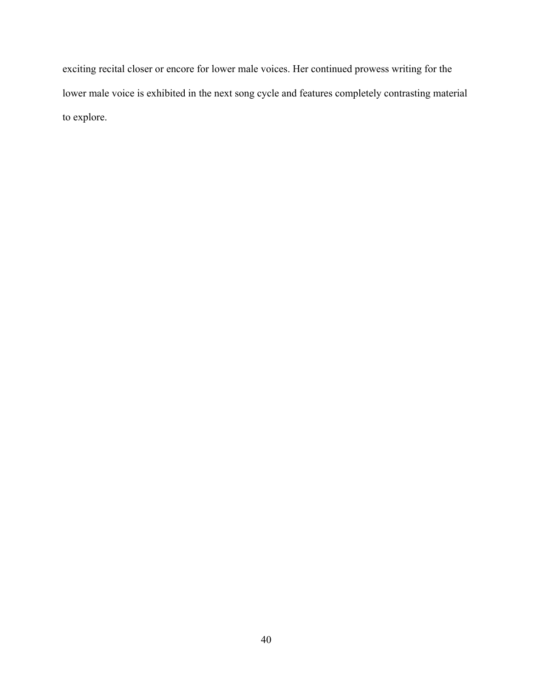exciting recital closer or encore for lower male voices. Her continued prowess writing for the lower male voice is exhibited in the next song cycle and features completely contrasting material to explore.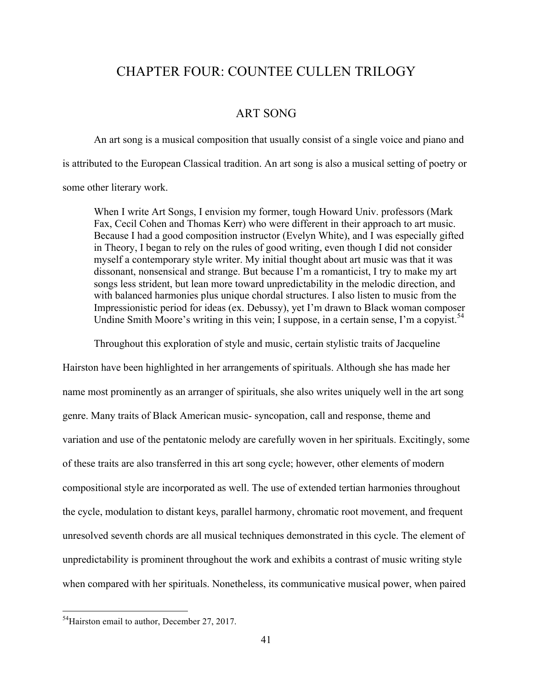# CHAPTER FOUR: COUNTEE CULLEN TRILOGY

### ART SONG

An art song is a musical composition that usually consist of a single voice and piano and is attributed to the European Classical tradition. An art song is also a musical setting of poetry or some other literary work.

When I write Art Songs, I envision my former, tough Howard Univ. professors (Mark Fax, Cecil Cohen and Thomas Kerr) who were different in their approach to art music. Because I had a good composition instructor (Evelyn White), and I was especially gifted in Theory, I began to rely on the rules of good writing, even though I did not consider myself a contemporary style writer. My initial thought about art music was that it was dissonant, nonsensical and strange. But because I'm a romanticist, I try to make my art songs less strident, but lean more toward unpredictability in the melodic direction, and with balanced harmonies plus unique chordal structures. I also listen to music from the Impressionistic period for ideas (ex. Debussy), yet I'm drawn to Black woman composer Undine Smith Moore's writing in this vein; I suppose, in a certain sense, I'm a copyist.<sup>54</sup>

Throughout this exploration of style and music, certain stylistic traits of Jacqueline

Hairston have been highlighted in her arrangements of spirituals. Although she has made her name most prominently as an arranger of spirituals, she also writes uniquely well in the art song genre. Many traits of Black American music- syncopation, call and response, theme and variation and use of the pentatonic melody are carefully woven in her spirituals. Excitingly, some of these traits are also transferred in this art song cycle; however, other elements of modern compositional style are incorporated as well. The use of extended tertian harmonies throughout the cycle, modulation to distant keys, parallel harmony, chromatic root movement, and frequent unresolved seventh chords are all musical techniques demonstrated in this cycle. The element of unpredictability is prominent throughout the work and exhibits a contrast of music writing style when compared with her spirituals. Nonetheless, its communicative musical power, when paired

<sup>&</sup>lt;sup>54</sup>Hairston email to author, December 27, 2017.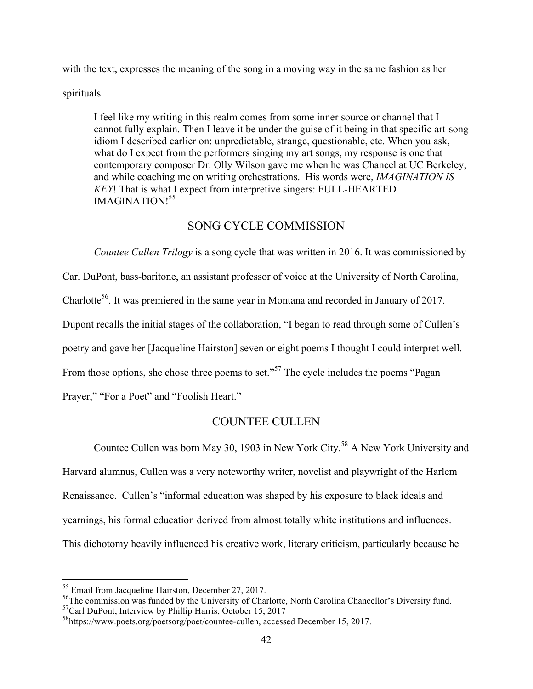with the text, expresses the meaning of the song in a moving way in the same fashion as her

spirituals.

I feel like my writing in this realm comes from some inner source or channel that I cannot fully explain. Then I leave it be under the guise of it being in that specific art-song idiom I described earlier on: unpredictable, strange, questionable, etc. When you ask, what do I expect from the performers singing my art songs, my response is one that contemporary composer Dr. Olly Wilson gave me when he was Chancel at UC Berkeley, and while coaching me on writing orchestrations. His words were, *IMAGINATION IS KEY*! That is what I expect from interpretive singers: FULL-HEARTED IMAGINATION! 55

## SONG CYCLE COMMISSION

*Countee Cullen Trilogy* is a song cycle that was written in 2016. It was commissioned by Carl DuPont, bass-baritone, an assistant professor of voice at the University of North Carolina, Charlotte<sup>56</sup>. It was premiered in the same year in Montana and recorded in January of 2017. Dupont recalls the initial stages of the collaboration, "I began to read through some of Cullen's poetry and gave her [Jacqueline Hairston] seven or eight poems I thought I could interpret well. From those options, she chose three poems to set."<sup>57</sup> The cycle includes the poems "Pagan" Prayer," "For a Poet" and "Foolish Heart."

## COUNTEE CULLEN

Countee Cullen was born May 30, 1903 in New York City.<sup>58</sup> A New York University and Harvard alumnus, Cullen was a very noteworthy writer, novelist and playwright of the Harlem Renaissance. Cullen's "informal education was shaped by his exposure to black ideals and yearnings, his formal education derived from almost totally white institutions and influences. This dichotomy heavily influenced his creative work, literary criticism, particularly because he

 <sup>55</sup> Email from Jacqueline Hairston, December 27, 2017.

<sup>&</sup>lt;sup>56</sup>The commission was funded by the University of Charlotte, North Carolina Chancellor's Diversity fund.

 $57$ Carl DuPont, Interview by Phillip Harris, October 15, 2017

<sup>58</sup>https://www.poets.org/poetsorg/poet/countee-cullen, accessed December 15, 2017.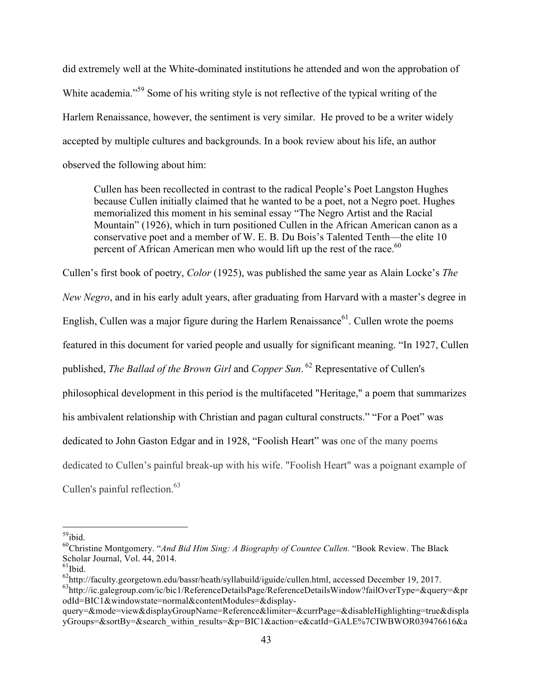did extremely well at the White-dominated institutions he attended and won the approbation of White academia."<sup>59</sup> Some of his writing style is not reflective of the typical writing of the Harlem Renaissance, however, the sentiment is very similar. He proved to be a writer widely accepted by multiple cultures and backgrounds. In a book review about his life, an author observed the following about him:

Cullen has been recollected in contrast to the radical People's Poet Langston Hughes because Cullen initially claimed that he wanted to be a poet, not a Negro poet. Hughes memorialized this moment in his seminal essay "The Negro Artist and the Racial Mountain" (1926), which in turn positioned Cullen in the African American canon as a conservative poet and a member of W. E. B. Du Bois's Talented Tenth—the elite 10 percent of African American men who would lift up the rest of the race. $60$ 

Cullen's first book of poetry, *Color* (1925), was published the same year as Alain Locke's *The New Negro*, and in his early adult years, after graduating from Harvard with a master's degree in English, Cullen was a major figure during the Harlem Renaissance<sup>61</sup>. Cullen wrote the poems featured in this document for varied people and usually for significant meaning. "In 1927, Cullen published, *The Ballad of the Brown Girl* and *Copper Sun*. <sup>62</sup> Representative of Cullen's philosophical development in this period is the multifaceted "Heritage," a poem that summarizes his ambivalent relationship with Christian and pagan cultural constructs." "For a Poet" was dedicated to John Gaston Edgar and in 1928, "Foolish Heart" was one of the many poems dedicated to Cullen's painful break-up with his wife. "Foolish Heart" was a poignant example of Cullen's painful reflection. $63$ 

 $59$ ibid.

<sup>&</sup>lt;sup>60</sup>Christine Montgomery. "*And Bid Him Sing: A Biography of Countee Cullen*. "Book Review. The Black Scholar Journal, Vol. 44, 2014.

 $^{61}$ Ibid.

<sup>&</sup>lt;sup>62</sup>http://faculty.georgetown.edu/bassr/heath/syllabuild/iguide/cullen.html, accessed December 19, 2017.

<sup>63</sup>http://ic.galegroup.com/ic/bic1/ReferenceDetailsPage/ReferenceDetailsWindow?failOverType=&query=&pr odId=BIC1&windowstate=normal&contentModules=&display-

query=&mode=view&displayGroupName=Reference&limiter=&currPage=&disableHighlighting=true&displa yGroups=&sortBy=&search\_within\_results=&p=BIC1&action=e&catId=GALE%7CIWBWOR039476616&a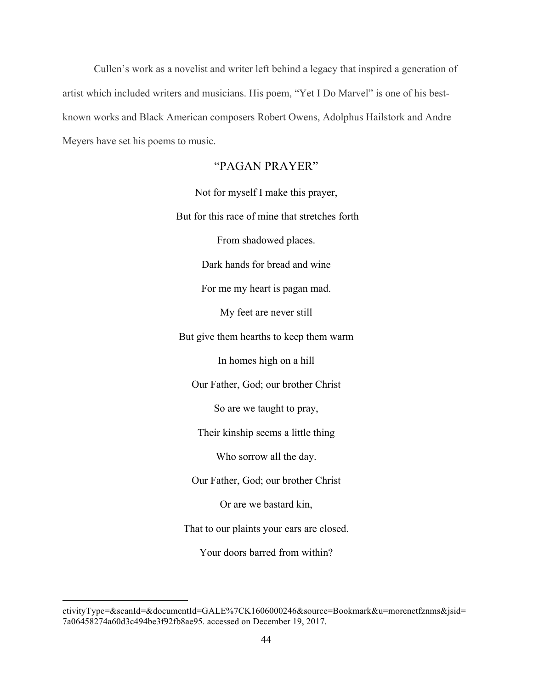Cullen's work as a novelist and writer left behind a legacy that inspired a generation of artist which included writers and musicians. His poem, "Yet I Do Marvel" is one of his bestknown works and Black American composers Robert Owens, Adolphus Hailstork and Andre Meyers have set his poems to music.

### "PAGAN PRAYER"

Not for myself I make this prayer, But for this race of mine that stretches forth From shadowed places. Dark hands for bread and wine For me my heart is pagan mad. My feet are never still But give them hearths to keep them warm In homes high on a hill Our Father, God; our brother Christ So are we taught to pray, Their kinship seems a little thing Who sorrow all the day. Our Father, God; our brother Christ Or are we bastard kin, That to our plaints your ears are closed. Your doors barred from within?

 $\overline{a}$ 

ctivityType=&scanId=&documentId=GALE%7CK1606000246&source=Bookmark&u=morenetfznms&jsid= 7a06458274a60d3c494be3f92fb8ae95. accessed on December 19, 2017.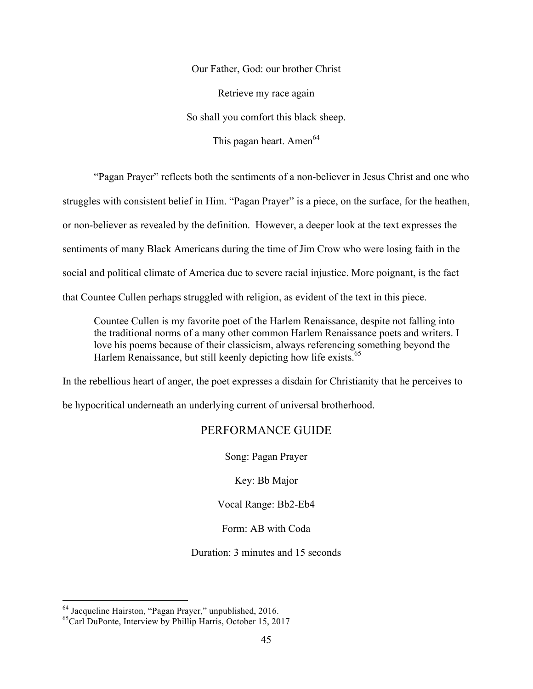Our Father, God: our brother Christ

Retrieve my race again

So shall you comfort this black sheep.

This pagan heart. Amen $^{64}$ 

"Pagan Prayer" reflects both the sentiments of a non-believer in Jesus Christ and one who struggles with consistent belief in Him. "Pagan Prayer" is a piece, on the surface, for the heathen, or non-believer as revealed by the definition. However, a deeper look at the text expresses the sentiments of many Black Americans during the time of Jim Crow who were losing faith in the social and political climate of America due to severe racial injustice. More poignant, is the fact that Countee Cullen perhaps struggled with religion, as evident of the text in this piece.

Countee Cullen is my favorite poet of the Harlem Renaissance, despite not falling into the traditional norms of a many other common Harlem Renaissance poets and writers. I love his poems because of their classicism, always referencing something beyond the Harlem Renaissance, but still keenly depicting how life exists.<sup>65</sup>

In the rebellious heart of anger, the poet expresses a disdain for Christianity that he perceives to

be hypocritical underneath an underlying current of universal brotherhood.

## PERFORMANCE GUIDE

Song: Pagan Prayer

Key: Bb Major

Vocal Range: Bb2-Eb4

Form: AB with Coda

Duration: 3 minutes and 15 seconds

 <sup>64</sup> Jacqueline Hairston, "Pagan Prayer," unpublished, 2016.

<sup>65</sup>Carl DuPonte, Interview by Phillip Harris, October 15, 2017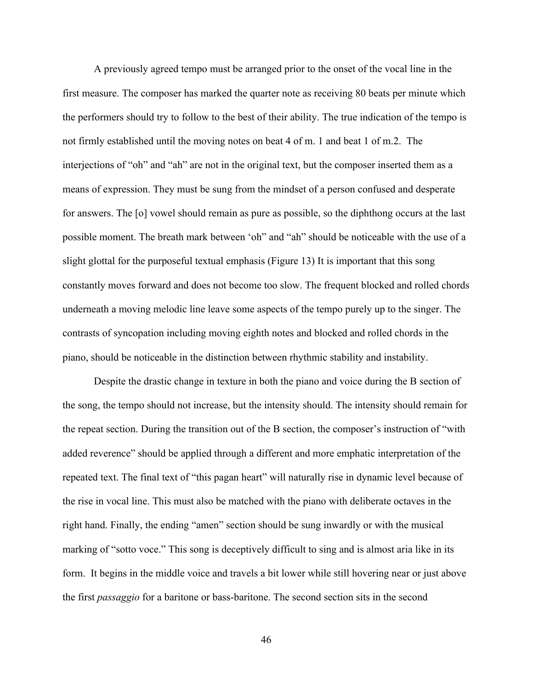A previously agreed tempo must be arranged prior to the onset of the vocal line in the first measure. The composer has marked the quarter note as receiving 80 beats per minute which the performers should try to follow to the best of their ability. The true indication of the tempo is not firmly established until the moving notes on beat 4 of m. 1 and beat 1 of m.2. The interjections of "oh" and "ah" are not in the original text, but the composer inserted them as a means of expression. They must be sung from the mindset of a person confused and desperate for answers. The [o] vowel should remain as pure as possible, so the diphthong occurs at the last possible moment. The breath mark between 'oh" and "ah" should be noticeable with the use of a slight glottal for the purposeful textual emphasis (Figure 13) It is important that this song constantly moves forward and does not become too slow. The frequent blocked and rolled chords underneath a moving melodic line leave some aspects of the tempo purely up to the singer. The contrasts of syncopation including moving eighth notes and blocked and rolled chords in the piano, should be noticeable in the distinction between rhythmic stability and instability.

Despite the drastic change in texture in both the piano and voice during the B section of the song, the tempo should not increase, but the intensity should. The intensity should remain for the repeat section. During the transition out of the B section, the composer's instruction of "with added reverence" should be applied through a different and more emphatic interpretation of the repeated text. The final text of "this pagan heart" will naturally rise in dynamic level because of the rise in vocal line. This must also be matched with the piano with deliberate octaves in the right hand. Finally, the ending "amen" section should be sung inwardly or with the musical marking of "sotto voce." This song is deceptively difficult to sing and is almost aria like in its form. It begins in the middle voice and travels a bit lower while still hovering near or just above the first *passaggio* for a baritone or bass-baritone. The second section sits in the second

46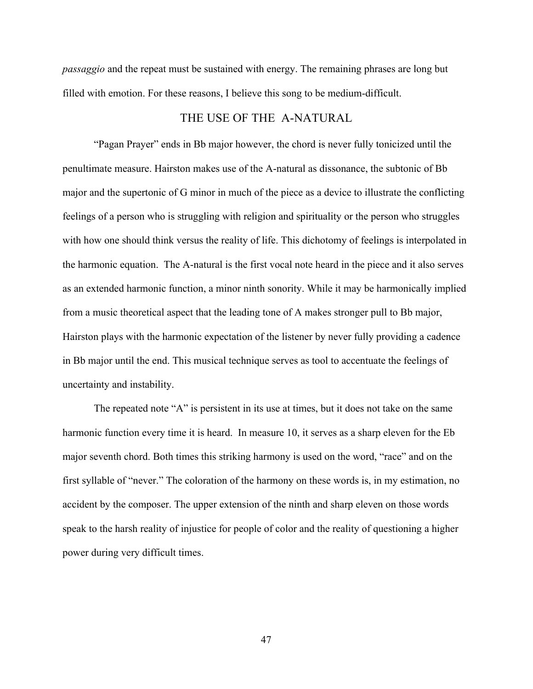*passaggio* and the repeat must be sustained with energy. The remaining phrases are long but filled with emotion. For these reasons, I believe this song to be medium-difficult.

#### THE USE OF THE A-NATURAL

"Pagan Prayer" ends in Bb major however, the chord is never fully tonicized until the penultimate measure. Hairston makes use of the A-natural as dissonance, the subtonic of Bb major and the supertonic of G minor in much of the piece as a device to illustrate the conflicting feelings of a person who is struggling with religion and spirituality or the person who struggles with how one should think versus the reality of life. This dichotomy of feelings is interpolated in the harmonic equation. The A-natural is the first vocal note heard in the piece and it also serves as an extended harmonic function, a minor ninth sonority. While it may be harmonically implied from a music theoretical aspect that the leading tone of A makes stronger pull to Bb major, Hairston plays with the harmonic expectation of the listener by never fully providing a cadence in Bb major until the end. This musical technique serves as tool to accentuate the feelings of uncertainty and instability.

The repeated note "A" is persistent in its use at times, but it does not take on the same harmonic function every time it is heard. In measure 10, it serves as a sharp eleven for the Eb major seventh chord. Both times this striking harmony is used on the word, "race" and on the first syllable of "never." The coloration of the harmony on these words is, in my estimation, no accident by the composer. The upper extension of the ninth and sharp eleven on those words speak to the harsh reality of injustice for people of color and the reality of questioning a higher power during very difficult times.

47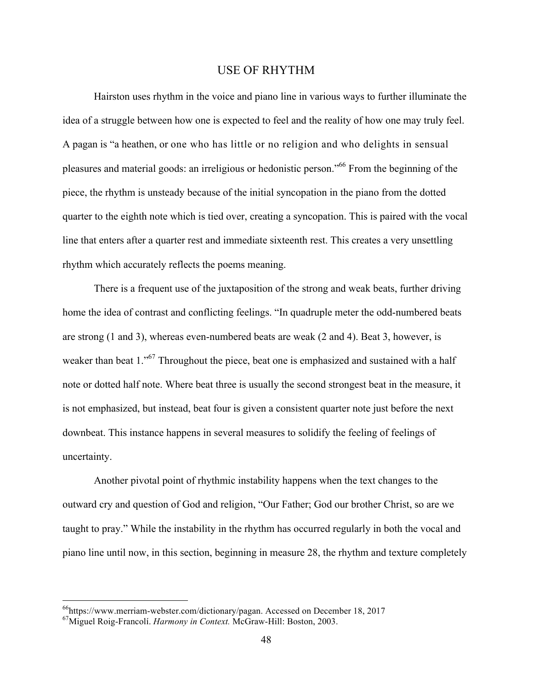#### USE OF RHYTHM

Hairston uses rhythm in the voice and piano line in various ways to further illuminate the idea of a struggle between how one is expected to feel and the reality of how one may truly feel. A pagan is "a heathen, or one who has little or no religion and who delights in sensual pleasures and material goods: an irreligious or hedonistic person."<sup>66</sup> From the beginning of the piece, the rhythm is unsteady because of the initial syncopation in the piano from the dotted quarter to the eighth note which is tied over, creating a syncopation. This is paired with the vocal line that enters after a quarter rest and immediate sixteenth rest. This creates a very unsettling rhythm which accurately reflects the poems meaning.

There is a frequent use of the juxtaposition of the strong and weak beats, further driving home the idea of contrast and conflicting feelings. "In quadruple meter the odd-numbered beats are strong (1 and 3), whereas even-numbered beats are weak (2 and 4). Beat 3, however, is weaker than beat 1.<sup>567</sup> Throughout the piece, beat one is emphasized and sustained with a half note or dotted half note. Where beat three is usually the second strongest beat in the measure, it is not emphasized, but instead, beat four is given a consistent quarter note just before the next downbeat. This instance happens in several measures to solidify the feeling of feelings of uncertainty.

Another pivotal point of rhythmic instability happens when the text changes to the outward cry and question of God and religion, "Our Father; God our brother Christ, so are we taught to pray." While the instability in the rhythm has occurred regularly in both the vocal and piano line until now, in this section, beginning in measure 28, the rhythm and texture completely

 <sup>66</sup>https://www.merriam-webster.com/dictionary/pagan. Accessed on December 18, 2017

<sup>67</sup>Miguel Roig-Francolí. *Harmony in Context.* McGraw-Hill: Boston, 2003.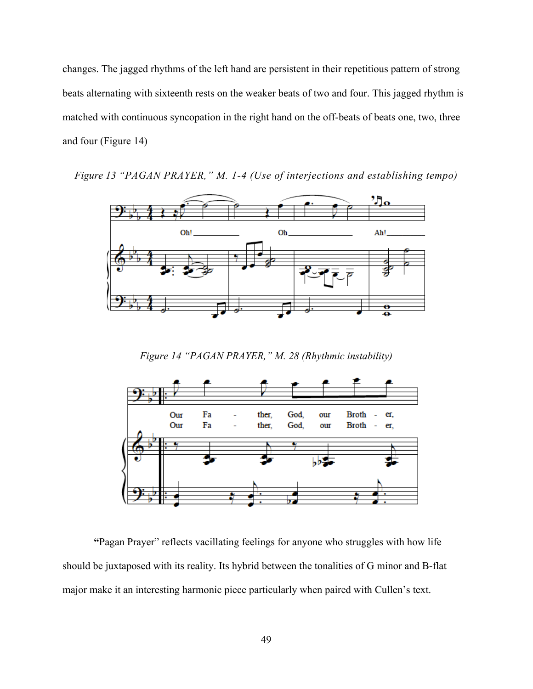changes. The jagged rhythms of the left hand are persistent in their repetitious pattern of strong beats alternating with sixteenth rests on the weaker beats of two and four. This jagged rhythm is matched with continuous syncopation in the right hand on the off-beats of beats one, two, three and four (Figure 14)

*Figure 13 "PAGAN PRAYER," M. 1-4 (Use of interjections and establishing tempo)*



*Figure 14 "PAGAN PRAYER," M. 28 (Rhythmic instability)*



**"**Pagan Prayer" reflects vacillating feelings for anyone who struggles with how life should be juxtaposed with its reality. Its hybrid between the tonalities of G minor and B-flat major make it an interesting harmonic piece particularly when paired with Cullen's text.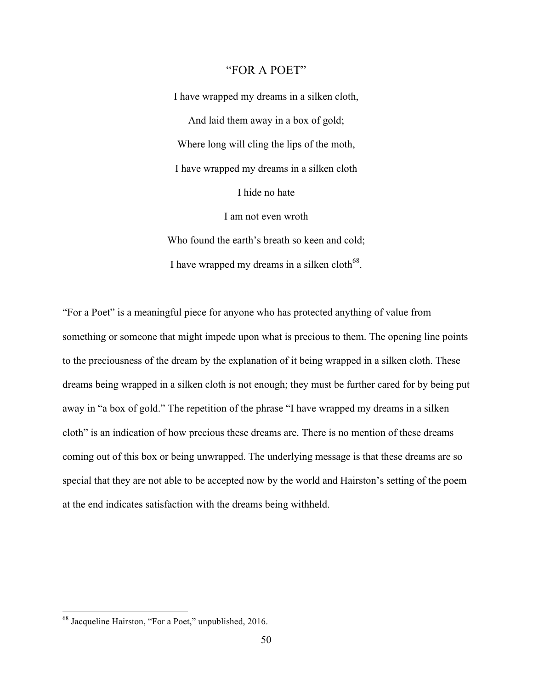#### "FOR A POET"

I have wrapped my dreams in a silken cloth, And laid them away in a box of gold; Where long will cling the lips of the moth, I have wrapped my dreams in a silken cloth I hide no hate I am not even wroth Who found the earth's breath so keen and cold; I have wrapped my dreams in a silken cloth<sup>68</sup>.

"For a Poet" is a meaningful piece for anyone who has protected anything of value from something or someone that might impede upon what is precious to them. The opening line points to the preciousness of the dream by the explanation of it being wrapped in a silken cloth. These dreams being wrapped in a silken cloth is not enough; they must be further cared for by being put away in "a box of gold." The repetition of the phrase "I have wrapped my dreams in a silken cloth" is an indication of how precious these dreams are. There is no mention of these dreams coming out of this box or being unwrapped. The underlying message is that these dreams are so special that they are not able to be accepted now by the world and Hairston's setting of the poem at the end indicates satisfaction with the dreams being withheld.

 <sup>68</sup> Jacqueline Hairston, "For a Poet," unpublished, 2016.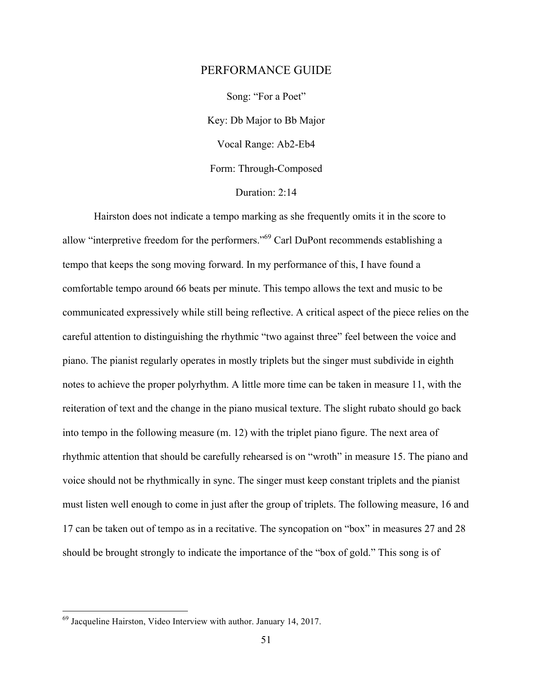#### PERFORMANCE GUIDE

Song: "For a Poet" Key: Db Major to Bb Major Vocal Range: Ab2-Eb4 Form: Through-Composed Duration: 2:14

Hairston does not indicate a tempo marking as she frequently omits it in the score to allow "interpretive freedom for the performers."69 Carl DuPont recommends establishing a tempo that keeps the song moving forward. In my performance of this, I have found a comfortable tempo around 66 beats per minute. This tempo allows the text and music to be communicated expressively while still being reflective. A critical aspect of the piece relies on the careful attention to distinguishing the rhythmic "two against three" feel between the voice and piano. The pianist regularly operates in mostly triplets but the singer must subdivide in eighth notes to achieve the proper polyrhythm. A little more time can be taken in measure 11, with the reiteration of text and the change in the piano musical texture. The slight rubato should go back into tempo in the following measure (m. 12) with the triplet piano figure. The next area of rhythmic attention that should be carefully rehearsed is on "wroth" in measure 15. The piano and voice should not be rhythmically in sync. The singer must keep constant triplets and the pianist must listen well enough to come in just after the group of triplets. The following measure, 16 and 17 can be taken out of tempo as in a recitative. The syncopation on "box" in measures 27 and 28 should be brought strongly to indicate the importance of the "box of gold." This song is of

 $^{69}$  Jacqueline Hairston, Video Interview with author. January 14, 2017.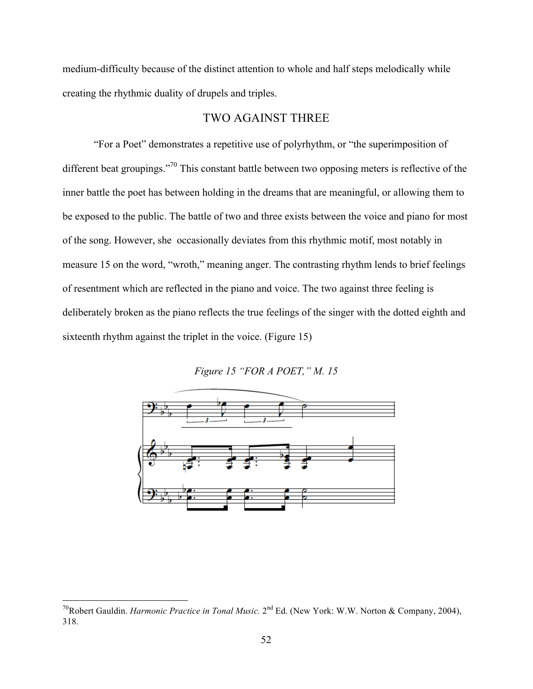medium-difficulty because of the distinct attention to whole and half steps melodically while creating the rhythmic duality of drupels and triples.

#### TWO AGAINST THREE

"For a Poet" demonstrates a repetitive use of polyrhythm, or "the superimposition of different beat groupings."<sup>70</sup> This constant battle between two opposing meters is reflective of the inner battle the poet has between holding in the dreams that are meaningful, or allowing them to be exposed to the public. The battle of two and three exists between the voice and piano for most of the song. However, she occasionally deviates from this rhythmic motif, most notably in measure 15 on the word, "wroth," meaning anger. The contrasting rhythm lends to brief feelings of resentment which are reflected in the piano and voice. The two against three feeling is deliberately broken as the piano reflects the true feelings of the singer with the dotted eighth and sixteenth rhythm against the triplet in the voice. (Figure 15)

*Figure 15 "FOR A POET," M. 15*



 <sup>70</sup>Robert Gauldin. *Harmonic Practice in Tonal Music.* 2nd Ed. (New York: W.W. Norton & Company, 2004), 318.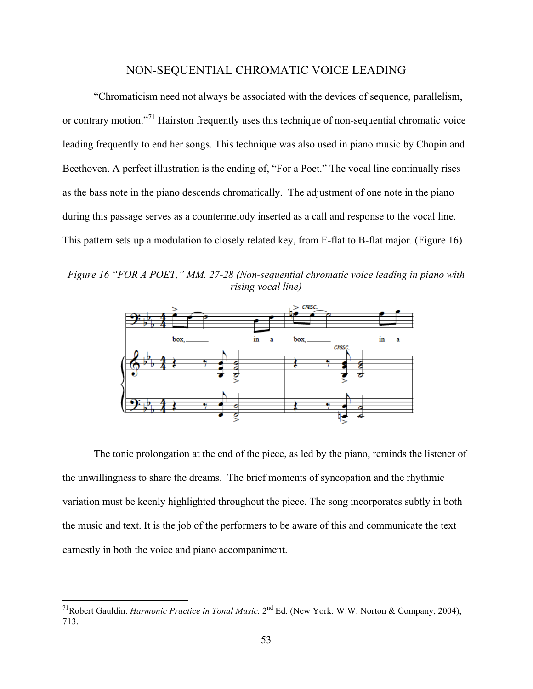## NON-SEQUENTIAL CHROMATIC VOICE LEADING

"Chromaticism need not always be associated with the devices of sequence, parallelism, or contrary motion.<sup>"71</sup> Hairston frequently uses this technique of non-sequential chromatic voice leading frequently to end her songs. This technique was also used in piano music by Chopin and Beethoven. A perfect illustration is the ending of, "For a Poet." The vocal line continually rises as the bass note in the piano descends chromatically. The adjustment of one note in the piano during this passage serves as a countermelody inserted as a call and response to the vocal line. This pattern sets up a modulation to closely related key, from E-flat to B-flat major. (Figure 16)

*Figure 16 "FOR A POET," MM. 27-28 (Non-sequential chromatic voice leading in piano with rising vocal line)*



The tonic prolongation at the end of the piece, as led by the piano, reminds the listener of the unwillingness to share the dreams. The brief moments of syncopation and the rhythmic variation must be keenly highlighted throughout the piece. The song incorporates subtly in both the music and text. It is the job of the performers to be aware of this and communicate the text earnestly in both the voice and piano accompaniment.

 <sup>71</sup>Robert Gauldin. *Harmonic Practice in Tonal Music.* 2nd Ed. (New York: W.W. Norton & Company, 2004), 713.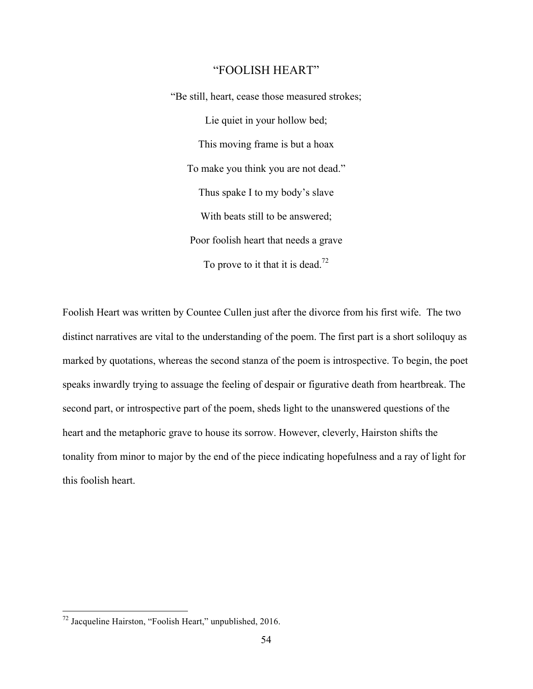### "FOOLISH HEART"

"Be still, heart, cease those measured strokes; Lie quiet in your hollow bed; This moving frame is but a hoax To make you think you are not dead." Thus spake I to my body's slave With beats still to be answered; Poor foolish heart that needs a grave To prove to it that it is dead.<sup>72</sup>

Foolish Heart was written by Countee Cullen just after the divorce from his first wife. The two distinct narratives are vital to the understanding of the poem. The first part is a short soliloquy as marked by quotations, whereas the second stanza of the poem is introspective. To begin, the poet speaks inwardly trying to assuage the feeling of despair or figurative death from heartbreak. The second part, or introspective part of the poem, sheds light to the unanswered questions of the heart and the metaphoric grave to house its sorrow. However, cleverly, Hairston shifts the tonality from minor to major by the end of the piece indicating hopefulness and a ray of light for this foolish heart.

 <sup>72</sup> Jacqueline Hairston, "Foolish Heart," unpublished, 2016.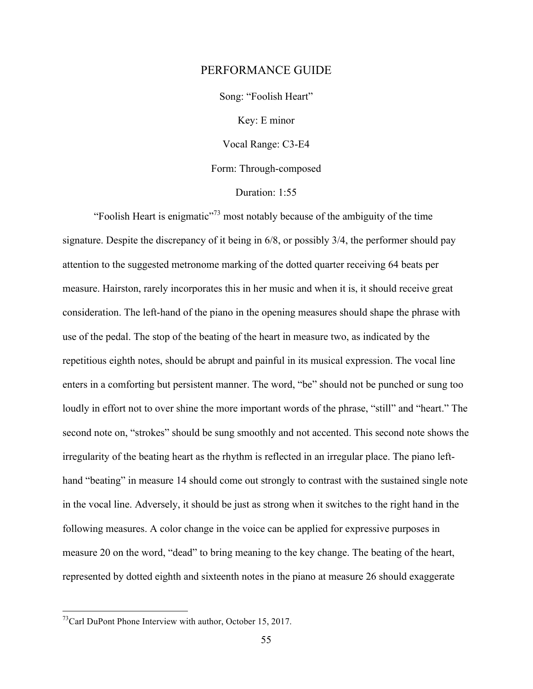#### PERFORMANCE GUIDE

Song: "Foolish Heart"

Key: E minor

Vocal Range: C3-E4

Form: Through-composed

Duration: 1:55

"Foolish Heart is enigmatic"<sup>73</sup> most notably because of the ambiguity of the time signature. Despite the discrepancy of it being in 6/8, or possibly 3/4, the performer should pay attention to the suggested metronome marking of the dotted quarter receiving 64 beats per measure. Hairston, rarely incorporates this in her music and when it is, it should receive great consideration. The left-hand of the piano in the opening measures should shape the phrase with use of the pedal. The stop of the beating of the heart in measure two, as indicated by the repetitious eighth notes, should be abrupt and painful in its musical expression. The vocal line enters in a comforting but persistent manner. The word, "be" should not be punched or sung too loudly in effort not to over shine the more important words of the phrase, "still" and "heart." The second note on, "strokes" should be sung smoothly and not accented. This second note shows the irregularity of the beating heart as the rhythm is reflected in an irregular place. The piano lefthand "beating" in measure 14 should come out strongly to contrast with the sustained single note in the vocal line. Adversely, it should be just as strong when it switches to the right hand in the following measures. A color change in the voice can be applied for expressive purposes in measure 20 on the word, "dead" to bring meaning to the key change. The beating of the heart, represented by dotted eighth and sixteenth notes in the piano at measure 26 should exaggerate

 $^{73}$ Carl DuPont Phone Interview with author, October 15, 2017.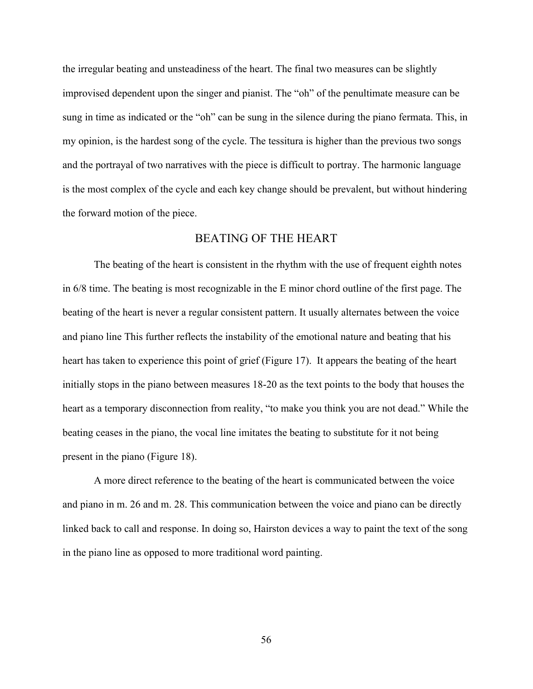the irregular beating and unsteadiness of the heart. The final two measures can be slightly improvised dependent upon the singer and pianist. The "oh" of the penultimate measure can be sung in time as indicated or the "oh" can be sung in the silence during the piano fermata. This, in my opinion, is the hardest song of the cycle. The tessitura is higher than the previous two songs and the portrayal of two narratives with the piece is difficult to portray. The harmonic language is the most complex of the cycle and each key change should be prevalent, but without hindering the forward motion of the piece.

#### BEATING OF THE HEART

The beating of the heart is consistent in the rhythm with the use of frequent eighth notes in 6/8 time. The beating is most recognizable in the E minor chord outline of the first page. The beating of the heart is never a regular consistent pattern. It usually alternates between the voice and piano line This further reflects the instability of the emotional nature and beating that his heart has taken to experience this point of grief (Figure 17). It appears the beating of the heart initially stops in the piano between measures 18-20 as the text points to the body that houses the heart as a temporary disconnection from reality, "to make you think you are not dead." While the beating ceases in the piano, the vocal line imitates the beating to substitute for it not being present in the piano (Figure 18).

A more direct reference to the beating of the heart is communicated between the voice and piano in m. 26 and m. 28. This communication between the voice and piano can be directly linked back to call and response. In doing so, Hairston devices a way to paint the text of the song in the piano line as opposed to more traditional word painting.

56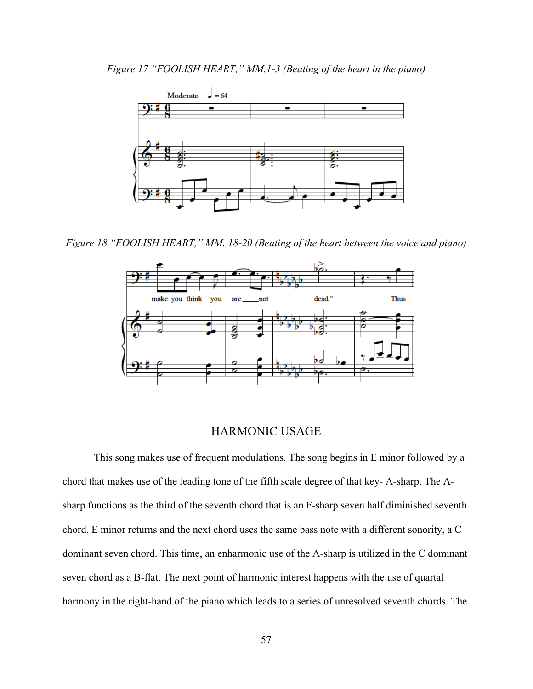

*Figure 18 "FOOLISH HEART," MM. 18-20 (Beating of the heart between the voice and piano)*



### HARMONIC USAGE

This song makes use of frequent modulations. The song begins in E minor followed by a chord that makes use of the leading tone of the fifth scale degree of that key- A-sharp. The Asharp functions as the third of the seventh chord that is an F-sharp seven half diminished seventh chord. E minor returns and the next chord uses the same bass note with a different sonority, a C dominant seven chord. This time, an enharmonic use of the A-sharp is utilized in the C dominant seven chord as a B-flat. The next point of harmonic interest happens with the use of quartal harmony in the right-hand of the piano which leads to a series of unresolved seventh chords. The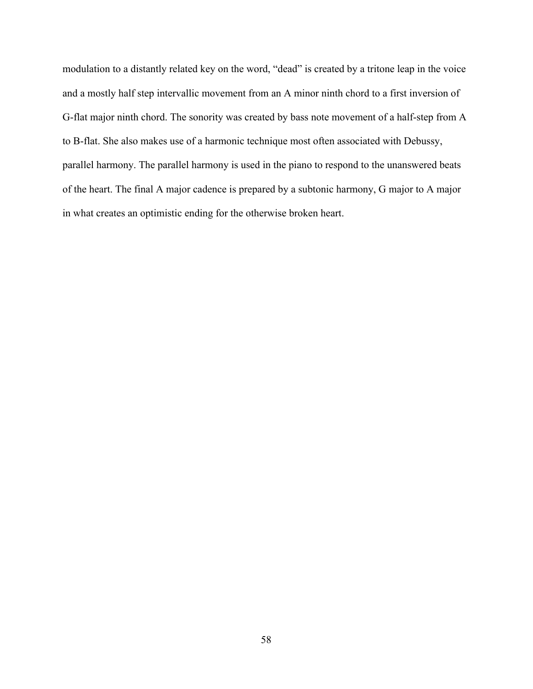modulation to a distantly related key on the word, "dead" is created by a tritone leap in the voice and a mostly half step intervallic movement from an A minor ninth chord to a first inversion of G-flat major ninth chord. The sonority was created by bass note movement of a half-step from A to B-flat. She also makes use of a harmonic technique most often associated with Debussy, parallel harmony. The parallel harmony is used in the piano to respond to the unanswered beats of the heart. The final A major cadence is prepared by a subtonic harmony, G major to A major in what creates an optimistic ending for the otherwise broken heart.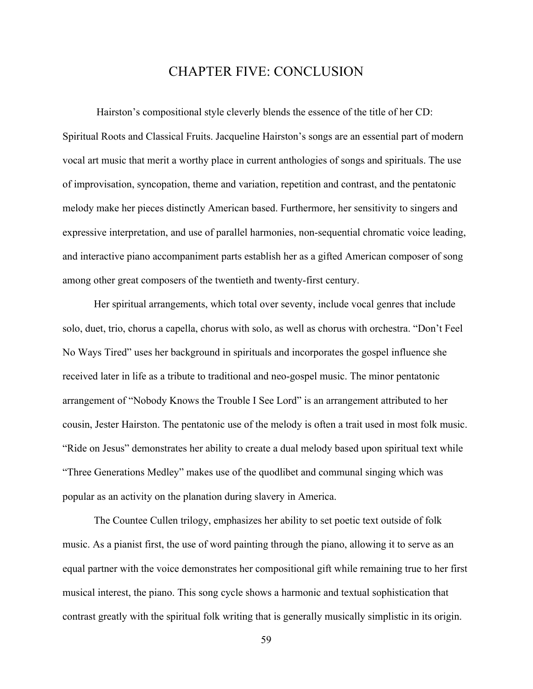# CHAPTER FIVE: CONCLUSION

Hairston's compositional style cleverly blends the essence of the title of her CD: Spiritual Roots and Classical Fruits. Jacqueline Hairston's songs are an essential part of modern vocal art music that merit a worthy place in current anthologies of songs and spirituals. The use of improvisation, syncopation, theme and variation, repetition and contrast, and the pentatonic melody make her pieces distinctly American based. Furthermore, her sensitivity to singers and expressive interpretation, and use of parallel harmonies, non-sequential chromatic voice leading, and interactive piano accompaniment parts establish her as a gifted American composer of song among other great composers of the twentieth and twenty-first century.

Her spiritual arrangements, which total over seventy, include vocal genres that include solo, duet, trio, chorus a capella, chorus with solo, as well as chorus with orchestra. "Don't Feel No Ways Tired" uses her background in spirituals and incorporates the gospel influence she received later in life as a tribute to traditional and neo-gospel music. The minor pentatonic arrangement of "Nobody Knows the Trouble I See Lord" is an arrangement attributed to her cousin, Jester Hairston. The pentatonic use of the melody is often a trait used in most folk music. "Ride on Jesus" demonstrates her ability to create a dual melody based upon spiritual text while "Three Generations Medley" makes use of the quodlibet and communal singing which was popular as an activity on the planation during slavery in America.

The Countee Cullen trilogy, emphasizes her ability to set poetic text outside of folk music. As a pianist first, the use of word painting through the piano, allowing it to serve as an equal partner with the voice demonstrates her compositional gift while remaining true to her first musical interest, the piano. This song cycle shows a harmonic and textual sophistication that contrast greatly with the spiritual folk writing that is generally musically simplistic in its origin.

59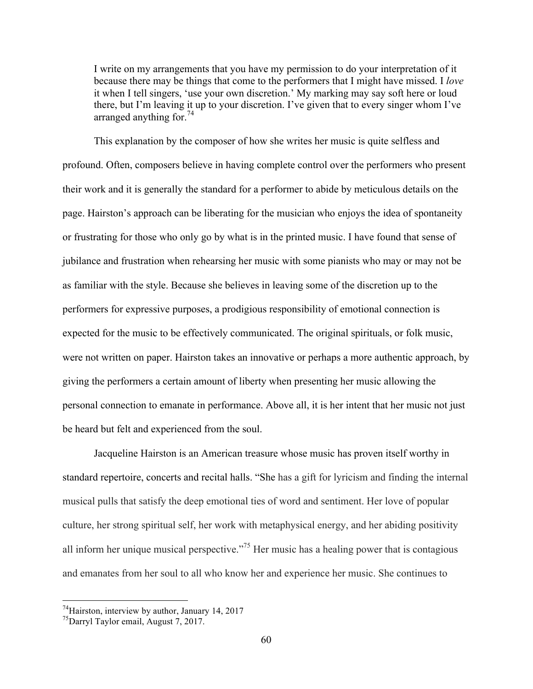I write on my arrangements that you have my permission to do your interpretation of it because there may be things that come to the performers that I might have missed. I *love* it when I tell singers, 'use your own discretion.' My marking may say soft here or loud there, but I'm leaving it up to your discretion. I've given that to every singer whom I've arranged anything for.<sup>74</sup>

This explanation by the composer of how she writes her music is quite selfless and profound. Often, composers believe in having complete control over the performers who present their work and it is generally the standard for a performer to abide by meticulous details on the page. Hairston's approach can be liberating for the musician who enjoys the idea of spontaneity or frustrating for those who only go by what is in the printed music. I have found that sense of jubilance and frustration when rehearsing her music with some pianists who may or may not be as familiar with the style. Because she believes in leaving some of the discretion up to the performers for expressive purposes, a prodigious responsibility of emotional connection is expected for the music to be effectively communicated. The original spirituals, or folk music, were not written on paper. Hairston takes an innovative or perhaps a more authentic approach, by giving the performers a certain amount of liberty when presenting her music allowing the personal connection to emanate in performance. Above all, it is her intent that her music not just be heard but felt and experienced from the soul.

Jacqueline Hairston is an American treasure whose music has proven itself worthy in standard repertoire, concerts and recital halls. "She has a gift for lyricism and finding the internal musical pulls that satisfy the deep emotional ties of word and sentiment. Her love of popular culture, her strong spiritual self, her work with metaphysical energy, and her abiding positivity all inform her unique musical perspective."75 Her music has a healing power that is contagious and emanates from her soul to all who know her and experience her music. She continues to

 $74$ Hairston, interview by author, January 14, 2017

<sup>75</sup>Darryl Taylor email, August 7, 2017.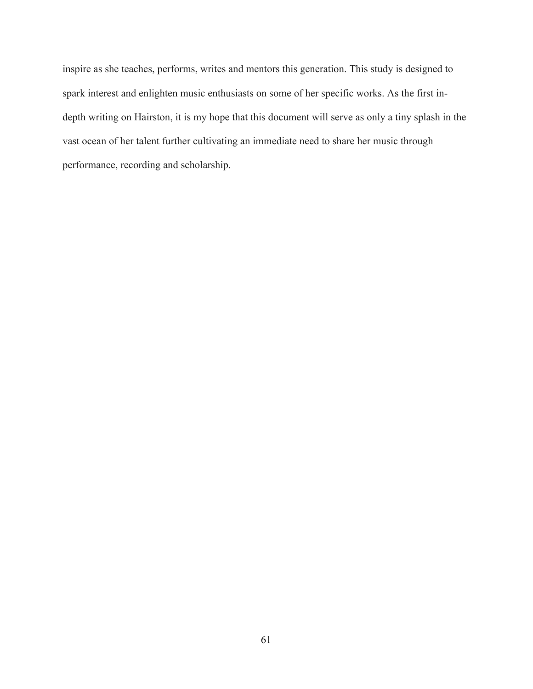inspire as she teaches, performs, writes and mentors this generation. This study is designed to spark interest and enlighten music enthusiasts on some of her specific works. As the first indepth writing on Hairston, it is my hope that this document will serve as only a tiny splash in the vast ocean of her talent further cultivating an immediate need to share her music through performance, recording and scholarship.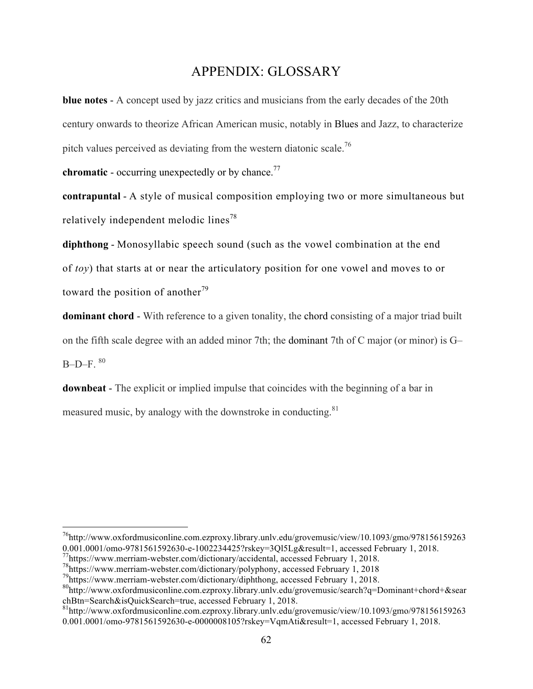# APPENDIX: GLOSSARY

**blue notes** - A concept used by jazz critics and musicians from the early decades of the 20th century onwards to theorize African American music, notably in Blues and Jazz, to characterize pitch values perceived as deviating from the western diatonic scale.<sup>76</sup>

**chromatic** - occurring unexpectedly or by chance.<sup>77</sup>

**contrapuntal** - A style of musical composition employing two or more simultaneous but relatively independent melodic lines<sup>78</sup>

**diphthong** - Monosyllabic speech sound (such as the vowel combination at the end of *toy*) that starts at or near the articulatory position for one vowel and moves to or toward the position of another<sup>79</sup>

**dominant chord** - With reference to a given tonality, the chord consisting of a major triad built on the fifth scale degree with an added minor 7th; the dominant 7th of C major (or minor) is G–  $B-D-F.$ <sup>80</sup>

**downbeat** - The explicit or implied impulse that coincides with the beginning of a bar in measured music, by analogy with the downstroke in conducting. $81$ 

 $^{76}$ http://www.oxfordmusiconline.com.ezproxy.library.unly.edu/grovemusic/view/10.1093/gmo/978156159263 0.001.0001/omo-9781561592630-e-1002234425?rskey=3Ql5Lg&result=1, accessed February 1, 2018.

<sup>77</sup>https://www.merriam-webster.com/dictionary/accidental, accessed February 1, 2018.

<sup>78</sup>https://www.merriam-webster.com/dictionary/polyphony, accessed February 1, 2018

<sup>79</sup>https://www.merriam-webster.com/dictionary/diphthong, accessed February 1, 2018.

<sup>80</sup>http://www.oxfordmusiconline.com.ezproxy.library.unlv.edu/grovemusic/search?q=Dominant+chord+&sear chBtn=Search&isQuickSearch=true, accessed February 1, 2018.<br><sup>81</sup>http://www.oxfordmusiconline.com.ezproxy.library.unlv.edu/grovemusic/view/10.1093/gmo/978156159263

<sup>0.001.0001/</sup>omo-9781561592630-e-0000008105?rskey=VqmAti&result=1, accessed February 1, 2018.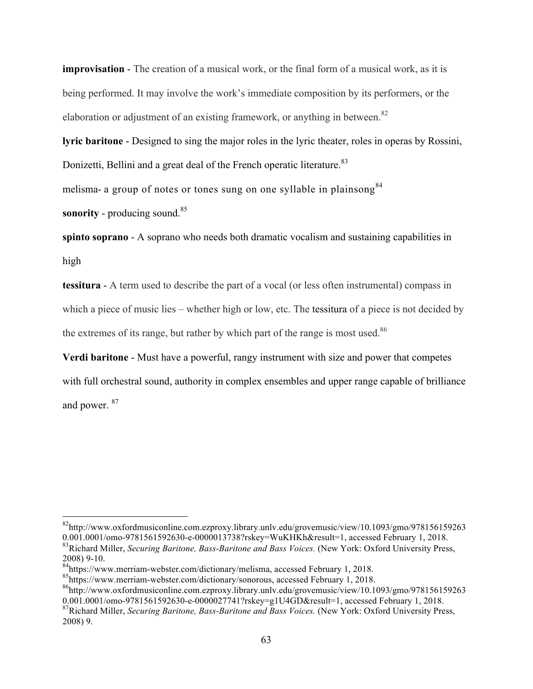**improvisation** - The creation of a musical work, or the final form of a musical work, as it is being performed. It may involve the work's immediate composition by its performers, or the elaboration or adjustment of an existing framework, or anything in between.<sup>82</sup>

**lyric baritone** - Designed to sing the major roles in the lyric theater, roles in operas by Rossini, Donizetti, Bellini and a great deal of the French operatic literature.<sup>83</sup>

melisma- a group of notes or tones sung on one syllable in plainsong  $84$ 

**sonority** - producing sound.<sup>85</sup>

**spinto soprano** - A soprano who needs both dramatic vocalism and sustaining capabilities in high

**tessitura** - A term used to describe the part of a vocal (or less often instrumental) compass in which a piece of music lies – whether high or low, etc. The tessitura of a piece is not decided by the extremes of its range, but rather by which part of the range is most used. $86$ 

**Verdi baritone** - Must have a powerful, rangy instrument with size and power that competes with full orchestral sound, authority in complex ensembles and upper range capable of brilliance and power. <sup>87</sup>

 <sup>82</sup>http://www.oxfordmusiconline.com.ezproxy.library.unlv.edu/grovemusic/view/10.1093/gmo/978156159263 0.001.0001/omo-9781561592630-e-0000013738?rskey=WuKHKh&result=1, accessed February 1, 2018.

<sup>83</sup>Richard Miller, *Securing Baritone, Bass-Baritone and Bass Voices.* (New York: Oxford University Press, 2008) 9-10.<br><sup>84</sup>https://www.merriam-webster.com/dictionary/melisma, accessed February 1, 2018.

 $\frac{85}{6}$ https://www.merriam-webster.com/dictionary/sonorous, accessed February 1, 2018.

<sup>86</sup>http://www.oxfordmusiconline.com.ezproxy.library.unlv.edu/grovemusic/view/10.1093/gmo/978156159263 0.001.0001/omo-9781561592630-e-0000027741?rskey=g1U4GD&result=1, accessed February 1, 2018.

<sup>87</sup>Richard Miller, *Securing Baritone, Bass-Baritone and Bass Voices.* (New York: Oxford University Press, 2008) 9.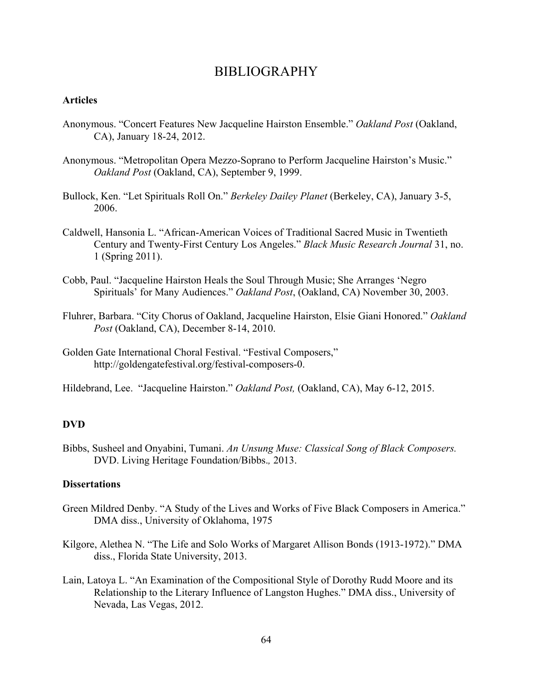# BIBLIOGRAPHY

### **Articles**

- Anonymous. "Concert Features New Jacqueline Hairston Ensemble." *Oakland Post* (Oakland, CA), January 18-24, 2012.
- Anonymous. "Metropolitan Opera Mezzo-Soprano to Perform Jacqueline Hairston's Music." *Oakland Post* (Oakland, CA), September 9, 1999.
- Bullock, Ken. "Let Spirituals Roll On." *Berkeley Dailey Planet* (Berkeley, CA), January 3-5, 2006.
- Caldwell, Hansonia L. "African-American Voices of Traditional Sacred Music in Twentieth Century and Twenty-First Century Los Angeles." *Black Music Research Journal* 31, no. 1 (Spring 2011).
- Cobb, Paul. "Jacqueline Hairston Heals the Soul Through Music; She Arranges 'Negro Spirituals' for Many Audiences." *Oakland Post*, (Oakland, CA) November 30, 2003.
- Fluhrer, Barbara. "City Chorus of Oakland, Jacqueline Hairston, Elsie Giani Honored." *Oakland Post* (Oakland, CA), December 8-14, 2010.
- Golden Gate International Choral Festival. "Festival Composers," http://goldengatefestival.org/festival-composers-0.

Hildebrand, Lee. "Jacqueline Hairston." *Oakland Post,* (Oakland, CA), May 6-12, 2015.

### **DVD**

Bibbs, Susheel and Onyabini, Tumani. *An Unsung Muse: Classical Song of Black Composers.*  DVD. Living Heritage Foundation/Bibbs.*,* 2013.

### **Dissertations**

- Green Mildred Denby. "A Study of the Lives and Works of Five Black Composers in America." DMA diss., University of Oklahoma, 1975
- Kilgore, Alethea N. "The Life and Solo Works of Margaret Allison Bonds (1913-1972)." DMA diss., Florida State University, 2013.
- Lain, Latoya L. "An Examination of the Compositional Style of Dorothy Rudd Moore and its Relationship to the Literary Influence of Langston Hughes." DMA diss., University of Nevada, Las Vegas, 2012.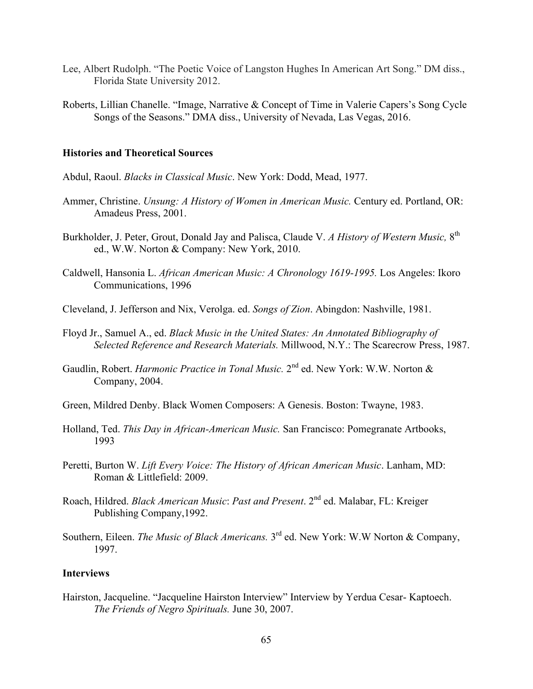- Lee, Albert Rudolph. "The Poetic Voice of Langston Hughes In American Art Song." DM diss., Florida State University 2012.
- Roberts, Lillian Chanelle. "Image, Narrative & Concept of Time in Valerie Capers's Song Cycle Songs of the Seasons." DMA diss., University of Nevada, Las Vegas, 2016.

#### **Histories and Theoretical Sources**

- Abdul, Raoul. *Blacks in Classical Music*. New York: Dodd, Mead, 1977.
- Ammer, Christine. *Unsung: A History of Women in American Music.* Century ed. Portland, OR: Amadeus Press, 2001.
- Burkholder, J. Peter, Grout, Donald Jay and Palisca, Claude V. *A History of Western Music,* 8th ed., W.W. Norton & Company: New York, 2010.
- Caldwell, Hansonia L. *African American Music: A Chronology 1619-1995.* Los Angeles: Ikoro Communications, 1996
- Cleveland, J. Jefferson and Nix, Verolga. ed. *Songs of Zion*. Abingdon: Nashville, 1981.
- Floyd Jr., Samuel A., ed. *Black Music in the United States: An Annotated Bibliography of Selected Reference and Research Materials.* Millwood, N.Y.: The Scarecrow Press, 1987.
- Gaudlin, Robert. *Harmonic Practice in Tonal Music*. 2<sup>nd</sup> ed. New York: W.W. Norton & Company, 2004.
- Green, Mildred Denby. Black Women Composers: A Genesis. Boston: Twayne, 1983.
- Holland, Ted. *This Day in African-American Music.* San Francisco: Pomegranate Artbooks, 1993
- Peretti, Burton W. *Lift Every Voice: The History of African American Music*. Lanham, MD: Roman & Littlefield: 2009.
- Roach, Hildred. *Black American Music*: *Past and Present*. 2nd ed. Malabar, FL: Kreiger Publishing Company,1992.
- Southern. Eileen. *The Music of Black Americans*. 3<sup>rd</sup> ed. New York: W.W Norton & Company, 1997.

#### **Interviews**

Hairston, Jacqueline. "Jacqueline Hairston Interview" Interview by Yerdua Cesar- Kaptoech. *The Friends of Negro Spirituals.* June 30, 2007.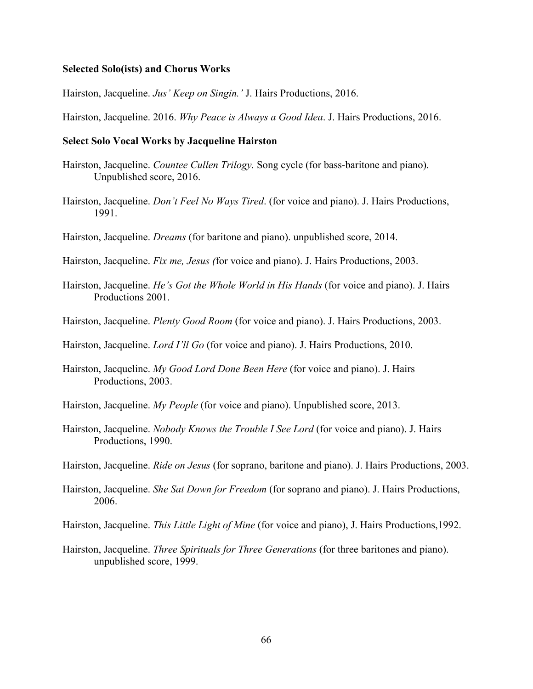#### **Selected Solo(ists) and Chorus Works**

Hairston, Jacqueline. *Jus' Keep on Singin.'* J. Hairs Productions, 2016.

Hairston, Jacqueline. 2016. *Why Peace is Always a Good Idea*. J. Hairs Productions, 2016.

#### **Select Solo Vocal Works by Jacqueline Hairston**

- Hairston, Jacqueline. *Countee Cullen Trilogy.* Song cycle (for bass-baritone and piano). Unpublished score, 2016.
- Hairston, Jacqueline. *Don't Feel No Ways Tired*. (for voice and piano). J. Hairs Productions, 1991.
- Hairston, Jacqueline. *Dreams* (for baritone and piano). unpublished score, 2014.

Hairston, Jacqueline. *Fix me, Jesus (*for voice and piano). J. Hairs Productions, 2003.

- Hairston, Jacqueline. *He's Got the Whole World in His Hands* (for voice and piano). J. Hairs Productions 2001.
- Hairston, Jacqueline. *Plenty Good Room* (for voice and piano). J. Hairs Productions, 2003.

Hairston, Jacqueline. *Lord I'll Go* (for voice and piano). J. Hairs Productions, 2010.

- Hairston, Jacqueline. *My Good Lord Done Been Here* (for voice and piano). J. Hairs Productions, 2003.
- Hairston, Jacqueline. *My People* (for voice and piano). Unpublished score, 2013.
- Hairston, Jacqueline. *Nobody Knows the Trouble I See Lord* (for voice and piano). J. Hairs Productions, 1990.
- Hairston, Jacqueline. *Ride on Jesus* (for soprano, baritone and piano). J. Hairs Productions, 2003.
- Hairston, Jacqueline. *She Sat Down for Freedom* (for soprano and piano). J. Hairs Productions, 2006.
- Hairston, Jacqueline. *This Little Light of Mine* (for voice and piano), J. Hairs Productions,1992.
- Hairston, Jacqueline. *Three Spirituals for Three Generations* (for three baritones and piano). unpublished score, 1999.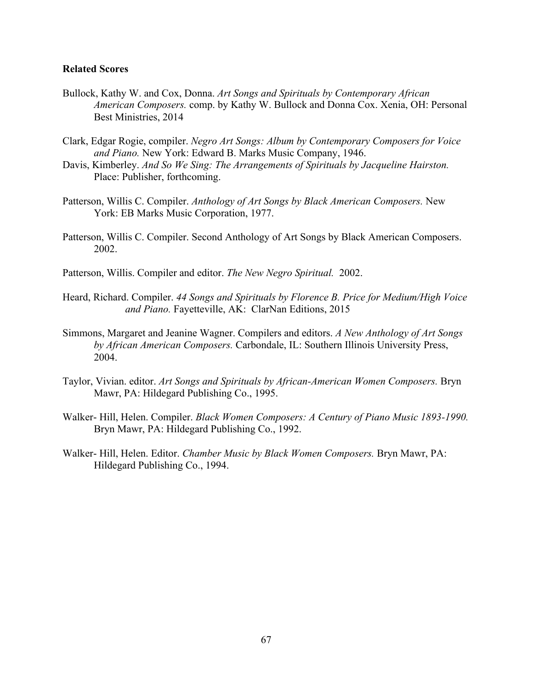#### **Related Scores**

- Bullock, Kathy W. and Cox, Donna. *Art Songs and Spirituals by Contemporary African American Composers.* comp. by Kathy W. Bullock and Donna Cox. Xenia, OH: Personal Best Ministries, 2014
- Clark, Edgar Rogie, compiler. *Negro Art Songs: Album by Contemporary Composers for Voice and Piano.* New York: Edward B. Marks Music Company, 1946.
- Davis, Kimberley. *And So We Sing: The Arrangements of Spirituals by Jacqueline Hairston.*  Place: Publisher, forthcoming.
- Patterson, Willis C. Compiler. *Anthology of Art Songs by Black American Composers.* New York: EB Marks Music Corporation, 1977.
- Patterson, Willis C. Compiler. Second Anthology of Art Songs by Black American Composers. 2002.
- Patterson, Willis. Compiler and editor. *The New Negro Spiritual.* 2002.
- Heard, Richard. Compiler. *44 Songs and Spirituals by Florence B. Price for Medium/High Voice and Piano.* Fayetteville, AK:ClarNan Editions, 2015
- Simmons, Margaret and Jeanine Wagner. Compilers and editors. *A New Anthology of Art Songs by African American Composers.* Carbondale, IL: Southern Illinois University Press, 2004.
- Taylor, Vivian. editor. *Art Songs and Spirituals by African-American Women Composers.* Bryn Mawr, PA: Hildegard Publishing Co., 1995.
- Walker- Hill, Helen. Compiler. *Black Women Composers: A Century of Piano Music 1893-1990.* Bryn Mawr, PA: Hildegard Publishing Co., 1992.
- Walker- Hill, Helen. Editor. *Chamber Music by Black Women Composers.* Bryn Mawr, PA: Hildegard Publishing Co., 1994.